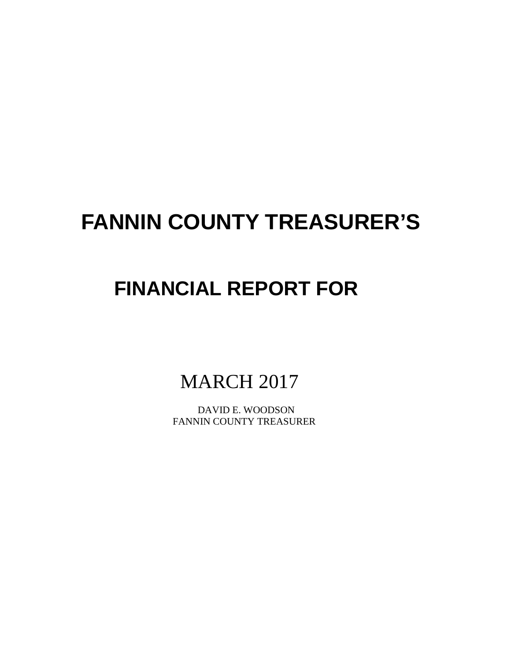# **FANNIN COUNTY TREASURER'S**

## **FINANCIAL REPORT FOR**

## MARCH 2017

 DAVID E. WOODSON FANNIN COUNTY TREASURER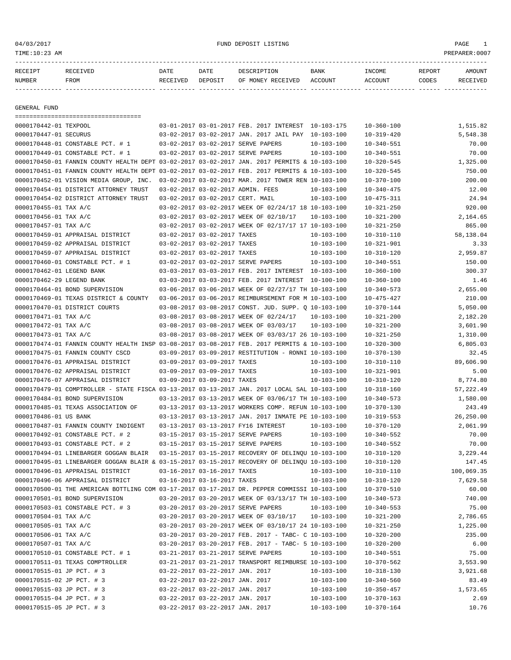## 04/03/2017 FUND DEPOSIT LISTING PAGE 1

| <b>RECEIPT</b> |      | DATE     | DATE    |                   | <b>BANK</b> | INCOME | REPORT | <b>MOTINT</b> |
|----------------|------|----------|---------|-------------------|-------------|--------|--------|---------------|
| NUMBER         | FROM | ਿੰਸ਼IVED | DEPOSTT | RECEIVED<br>MONEY | ACCOUNT     |        | MODES  |               |

------------- ------------------------- ---------- ---------- ------------------- -------------- -------------- ------ ------------

GENERAL FUND

|                           | ====================================                                                         |                                  |                                                      |                  |                  |            |
|---------------------------|----------------------------------------------------------------------------------------------|----------------------------------|------------------------------------------------------|------------------|------------------|------------|
| 0000170442-01 TEXPOOL     |                                                                                              |                                  | 03-01-2017 03-01-2017 FEB. 2017 INTEREST 10-103-175  |                  | $10 - 360 - 100$ | 1,515.82   |
| 0000170447-01 SECURUS     |                                                                                              |                                  | 03-02-2017 03-02-2017 JAN. 2017 JAIL PAY 10-103-100  |                  | $10 - 319 - 420$ | 5,548.38   |
|                           | 0000170448-01 CONSTABLE PCT. # 1                                                             |                                  | 03-02-2017 03-02-2017 SERVE PAPERS                   | $10 - 103 - 100$ | $10 - 340 - 551$ | 70.00      |
|                           | 0000170449-01 CONSTABLE PCT. # 1                                                             |                                  | 03-02-2017 03-02-2017 SERVE PAPERS                   | $10 - 103 - 100$ | $10 - 340 - 551$ | 70.00      |
|                           | 0000170450-01 FANNIN COUNTY HEALTH DEPT 03-02-2017 03-02-2017 JAN. 2017 PERMITS & 10-103-100 |                                  |                                                      |                  | $10 - 320 - 545$ | 1,325.00   |
|                           | 0000170451-01 FANNIN COUNTY HEALTH DEPT 03-02-2017 03-02-2017 FEB. 2017 PERMITS & 10-103-100 |                                  |                                                      |                  | $10 - 320 - 545$ | 750.00     |
|                           | 0000170452-01 VISION MEDIA GROUP, INC.                                                       |                                  | 03-02-2017 03-02-2017 MAR. 2017 TOWER REN 10-103-100 |                  | $10 - 370 - 100$ | 200.00     |
|                           | 0000170454-01 DISTRICT ATTORNEY TRUST                                                        |                                  | 03-02-2017 03-02-2017 ADMIN. FEES                    | $10 - 103 - 100$ | $10 - 340 - 475$ | 12.00      |
|                           | 0000170454-02 DISTRICT ATTORNEY TRUST                                                        | 03-02-2017 03-02-2017 CERT. MAIL |                                                      | $10 - 103 - 100$ | $10 - 475 - 311$ | 24.94      |
| 0000170455-01 TAX A/C     |                                                                                              |                                  | 03-02-2017 03-02-2017 WEEK OF 02/24/17 18 10-103-100 |                  | $10 - 321 - 250$ | 920.00     |
| 0000170456-01 TAX A/C     |                                                                                              |                                  | 03-02-2017 03-02-2017 WEEK OF 02/10/17               | $10 - 103 - 100$ | $10 - 321 - 200$ | 2,164.65   |
| 0000170457-01 TAX A/C     |                                                                                              |                                  | 03-02-2017 03-02-2017 WEEK OF 02/17/17 17 10-103-100 |                  | $10 - 321 - 250$ | 865.00     |
|                           | 0000170459-01 APPRAISAL DISTRICT                                                             | 03-02-2017 03-02-2017 TAXES      |                                                      | $10 - 103 - 100$ | $10 - 310 - 110$ | 58,138.04  |
|                           | 0000170459-02 APPRAISAL DISTRICT                                                             | 03-02-2017 03-02-2017 TAXES      |                                                      | $10 - 103 - 100$ | $10 - 321 - 901$ | 3.33       |
|                           | 0000170459-07 APPRAISAL DISTRICT                                                             | 03-02-2017 03-02-2017 TAXES      |                                                      | $10 - 103 - 100$ | $10 - 310 - 120$ | 2,959.87   |
|                           | 0000170460-01 CONSTABLE PCT. # 1                                                             |                                  | 03-02-2017 03-02-2017 SERVE PAPERS                   | $10 - 103 - 100$ | $10 - 340 - 551$ | 150.00     |
| 0000170462-01 LEGEND BANK |                                                                                              |                                  | 03-03-2017 03-03-2017 FEB. 2017 INTEREST 10-103-100  |                  | $10 - 360 - 100$ | 300.37     |
| 0000170462-29 LEGEND BANK |                                                                                              |                                  | 03-03-2017 03-03-2017 FEB. 2017 INTEREST 10-100-100  |                  | $10 - 360 - 100$ | 1.46       |
|                           | 0000170464-01 BOND SUPERVISION                                                               |                                  | 03-06-2017 03-06-2017 WEEK OF 02/27/17 TH 10-103-100 |                  | $10 - 340 - 573$ | 2,655.00   |
|                           | 0000170469-01 TEXAS DISTRICT & COUNTY                                                        |                                  | 03-06-2017 03-06-2017 REIMBURSEMENT FOR M 10-103-100 |                  | $10 - 475 - 427$ | 210.00     |
|                           | 0000170470-01 DISTRICT COURTS                                                                |                                  | 03-08-2017 03-08-2017 CONST. JUD. SUPP. 0 10-103-100 |                  | $10 - 370 - 144$ | 5,050.00   |
| 0000170471-01 TAX A/C     |                                                                                              |                                  | 03-08-2017 03-08-2017 WEEK OF 02/24/17               | $10 - 103 - 100$ | $10 - 321 - 200$ | 2,182.20   |
| 0000170472-01 TAX A/C     |                                                                                              |                                  | 03-08-2017 03-08-2017 WEEK OF 03/03/17               | $10 - 103 - 100$ | $10 - 321 - 200$ | 3,601.90   |
| 0000170473-01 TAX A/C     |                                                                                              |                                  | 03-08-2017 03-08-2017 WEEK OF 03/03/17 26 10-103-100 |                  | $10 - 321 - 250$ | 1,310.00   |
|                           | 0000170474-01 FANNIN COUNTY HEALTH INSP 03-08-2017 03-08-2017 FEB. 2017 PERMITS & 10-103-100 |                                  |                                                      |                  | $10 - 320 - 300$ | 6,805.03   |
|                           | 0000170475-01 FANNIN COUNTY CSCD                                                             |                                  | 03-09-2017 03-09-2017 RESTITUTION - RONNI 10-103-100 |                  | $10 - 370 - 130$ | 32.45      |
|                           | 0000170476-01 APPRAISAL DISTRICT                                                             | 03-09-2017 03-09-2017 TAXES      |                                                      | $10 - 103 - 100$ | $10 - 310 - 110$ | 89,606.90  |
|                           | 0000170476-02 APPRAISAL DISTRICT                                                             | 03-09-2017 03-09-2017 TAXES      |                                                      | $10 - 103 - 100$ | $10 - 321 - 901$ | 5.00       |
|                           | 0000170476-07 APPRAISAL DISTRICT                                                             | 03-09-2017 03-09-2017 TAXES      |                                                      | $10 - 103 - 100$ | $10 - 310 - 120$ | 8,774.80   |
|                           | 0000170479-01 COMPTROLLER - STATE FISCA 03-13-2017 03-13-2017 JAN. 2017 LOCAL SAL 10-103-100 |                                  |                                                      |                  | $10 - 318 - 160$ | 57,222.49  |
|                           | 0000170484-01 BOND SUPERVISION                                                               |                                  | 03-13-2017 03-13-2017 WEEK OF 03/06/17 TH 10-103-100 |                  | $10 - 340 - 573$ | 1,580.00   |
|                           | 0000170485-01 TEXAS ASSOCIATION OF                                                           |                                  | 03-13-2017 03-13-2017 WORKERS COMP. REFUN 10-103-100 |                  | $10 - 370 - 130$ | 243.49     |
| 0000170486-01 US BANK     |                                                                                              |                                  | 03-13-2017 03-13-2017 JAN. 2017 INMATE PE 10-103-100 |                  | $10 - 319 - 553$ | 26,250.00  |
|                           | 0000170487-01 FANNIN COUNTY INDIGENT                                                         |                                  | 03-13-2017 03-13-2017 FY16 INTEREST                  | $10 - 103 - 100$ | $10 - 370 - 120$ | 2,061.99   |
|                           | 0000170492-01 CONSTABLE PCT. # 2                                                             |                                  | 03-15-2017 03-15-2017 SERVE PAPERS                   | $10 - 103 - 100$ | $10 - 340 - 552$ | 70.00      |
|                           | 0000170493-01 CONSTABLE PCT. # 2                                                             |                                  | 03-15-2017 03-15-2017 SERVE PAPERS                   | $10 - 103 - 100$ | $10 - 340 - 552$ | 70.00      |
|                           | 0000170494-01 LINEBARGER GOGGAN BLAIR                                                        |                                  | 03-15-2017 03-15-2017 RECOVERY OF DELINOU 10-103-100 |                  | $10 - 310 - 120$ | 3,229.44   |
|                           | 0000170495-01 LINEBARGER GOGGAN BLAIR & 03-15-2017 03-15-2017 RECOVERY OF DELINQU 10-103-100 |                                  |                                                      |                  | $10 - 310 - 120$ | 147.45     |
|                           | 0000170496-01 APPRAISAL DISTRICT                                                             | 03-16-2017 03-16-2017 TAXES      |                                                      | $10 - 103 - 100$ | $10 - 310 - 110$ | 100,069.35 |
|                           | 0000170496-06 APPRAISAL DISTRICT                                                             | 03-16-2017 03-16-2017 TAXES      |                                                      | $10 - 103 - 100$ | $10 - 310 - 120$ | 7,629.58   |
|                           | 0000170500-01 THE AMERICAN BOTTLING COM 03-17-2017 03-17-2017 DR. PEPPER COMMISSI 10-103-100 |                                  |                                                      |                  | $10 - 370 - 510$ | 60.00      |
|                           | 0000170501-01 BOND SUPERVISION                                                               |                                  | 03-20-2017 03-20-2017 WEEK OF 03/13/17 TH 10-103-100 |                  |                  |            |
|                           |                                                                                              |                                  |                                                      |                  | $10 - 340 - 573$ | 740.00     |
|                           | 0000170503-01 CONSTABLE PCT. # 3                                                             |                                  | 03-20-2017 03-20-2017 SERVE PAPERS                   | $10 - 103 - 100$ | $10 - 340 - 553$ | 75.00      |
| 0000170504-01 TAX A/C     |                                                                                              |                                  | 03-20-2017 03-20-2017 WEEK OF 03/10/17               | $10 - 103 - 100$ | $10 - 321 - 200$ | 2,786.65   |
| 0000170505-01 TAX A/C     |                                                                                              |                                  | 03-20-2017 03-20-2017 WEEK OF 03/10/17 24 10-103-100 |                  | $10 - 321 - 250$ | 1,225.00   |
| 0000170506-01 TAX A/C     |                                                                                              |                                  | 03-20-2017 03-20-2017 FEB. 2017 - TABC- C 10-103-100 |                  | $10 - 320 - 200$ | 235.00     |
| 0000170507-01 TAX A/C     |                                                                                              |                                  | 03-20-2017 03-20-2017 FEB. 2017 - TABC- 5 10-103-100 |                  | $10 - 320 - 200$ | 6.00       |
|                           | 0000170510-01 CONSTABLE PCT. # 1                                                             |                                  | 03-21-2017 03-21-2017 SERVE PAPERS                   | $10 - 103 - 100$ | $10 - 340 - 551$ | 75.00      |
|                           | 0000170511-01 TEXAS COMPTROLLER                                                              |                                  | 03-21-2017 03-21-2017 TRANSPORT REIMBURSE 10-103-100 |                  | $10 - 370 - 562$ | 3,553.90   |
| 0000170515-01 JP PCT. # 3 |                                                                                              | 03-22-2017 03-22-2017 JAN. 2017  |                                                      | $10 - 103 - 100$ | $10 - 318 - 130$ | 3,921.68   |
| 0000170515-02 JP PCT. # 3 |                                                                                              | 03-22-2017 03-22-2017 JAN. 2017  |                                                      | $10 - 103 - 100$ | $10 - 340 - 560$ | 83.49      |
| 0000170515-03 JP PCT. # 3 |                                                                                              | 03-22-2017 03-22-2017 JAN. 2017  |                                                      | 10-103-100       | $10 - 350 - 457$ | 1,573.65   |
| 0000170515-04 JP PCT. # 3 |                                                                                              | 03-22-2017 03-22-2017 JAN. 2017  |                                                      | $10 - 103 - 100$ | $10 - 370 - 163$ | 2.69       |
| 0000170515-05 JP PCT. # 3 |                                                                                              | 03-22-2017 03-22-2017 JAN. 2017  |                                                      | $10 - 103 - 100$ | $10 - 370 - 164$ | 10.76      |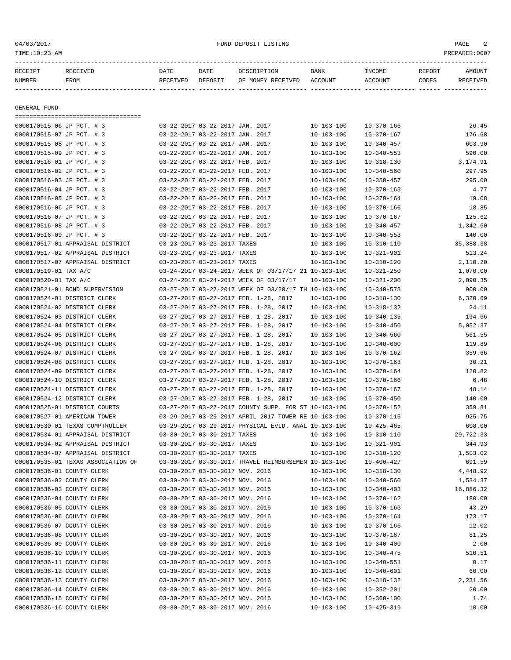04/03/2017 FUND DEPOSIT LISTING PAGE 2

| RECEIPT                    | --------------------------<br>RECEIVED | DATE     | DATE                            | DESCRIPTION                                          | BANK             | INCOME           | REPORT | AMOUNT      |
|----------------------------|----------------------------------------|----------|---------------------------------|------------------------------------------------------|------------------|------------------|--------|-------------|
| NUMBER                     | FROM                                   | RECEIVED | DEPOSIT                         | OF MONEY RECEIVED                                    | ACCOUNT          | ACCOUNT          | CODES  | RECEIVED    |
|                            |                                        |          |                                 |                                                      |                  |                  |        |             |
| GENERAL FUND               |                                        |          |                                 |                                                      |                  |                  |        |             |
| 0000170515-06 JP PCT. # 3  | ====================================== |          | 03-22-2017 03-22-2017 JAN. 2017 |                                                      | 10-103-100       | 10-370-166       |        | 26.45       |
| 0000170515-07 JP PCT. # 3  |                                        |          | 03-22-2017 03-22-2017 JAN. 2017 |                                                      | $10 - 103 - 100$ | $10 - 370 - 167$ |        | 176.68      |
| 0000170515-08 JP PCT. # 3  |                                        |          | 03-22-2017 03-22-2017 JAN. 2017 |                                                      | $10 - 103 - 100$ | $10 - 340 - 457$ |        | 603.90      |
| 0000170515-09 JP PCT. # 3  |                                        |          | 03-22-2017 03-22-2017 JAN. 2017 |                                                      | 10-103-100       | $10 - 340 - 553$ |        | 590.00      |
| 0000170516-01 JP PCT. # 3  |                                        |          | 03-22-2017 03-22-2017 FEB. 2017 |                                                      | $10 - 103 - 100$ | $10 - 318 - 130$ |        | 3,174.91    |
| 0000170516-02 JP PCT. # 3  |                                        |          | 03-22-2017 03-22-2017 FEB. 2017 |                                                      | $10 - 103 - 100$ | $10 - 340 - 560$ |        | 297.95      |
| 0000170516-03 JP PCT. # 3  |                                        |          | 03-22-2017 03-22-2017 FEB. 2017 |                                                      | $10 - 103 - 100$ | $10 - 350 - 457$ |        | 295.00      |
| 0000170516-04 JP PCT. # 3  |                                        |          | 03-22-2017 03-22-2017 FEB. 2017 |                                                      | $10 - 103 - 100$ | $10 - 370 - 163$ |        | 4.77        |
| 0000170516-05 JP PCT. # 3  |                                        |          | 03-22-2017 03-22-2017 FEB. 2017 |                                                      | $10 - 103 - 100$ | $10 - 370 - 164$ |        | 19.08       |
| 0000170516-06 JP PCT. # 3  |                                        |          | 03-22-2017 03-22-2017 FEB. 2017 |                                                      | $10 - 103 - 100$ | $10 - 370 - 166$ |        | 18.85       |
| 0000170516-07 JP PCT. # 3  |                                        |          | 03-22-2017 03-22-2017 FEB. 2017 |                                                      | $10 - 103 - 100$ | 10-370-167       |        | 125.62      |
| 0000170516-08 JP PCT. # 3  |                                        |          | 03-22-2017 03-22-2017 FEB. 2017 |                                                      | $10 - 103 - 100$ | $10 - 340 - 457$ |        | 1,342.60    |
| 0000170516-09 JP PCT. # 3  |                                        |          | 03-22-2017 03-22-2017 FEB. 2017 |                                                      | $10 - 103 - 100$ | $10 - 340 - 553$ |        | 140.00      |
|                            | 0000170517-01 APPRAISAL DISTRICT       |          | 03-23-2017 03-23-2017 TAXES     |                                                      | $10 - 103 - 100$ | $10 - 310 - 110$ |        | 35, 388. 38 |
|                            | 0000170517-02 APPRAISAL DISTRICT       |          | 03-23-2017 03-23-2017 TAXES     |                                                      | $10 - 103 - 100$ | $10 - 321 - 901$ |        | 513.24      |
|                            | 0000170517-07 APPRAISAL DISTRICT       |          | 03-23-2017 03-23-2017 TAXES     |                                                      | $10 - 103 - 100$ | $10 - 310 - 120$ |        | 2,110.20    |
| 0000170519-01 TAX A/C      |                                        |          |                                 | 03-24-2017 03-24-2017 WEEK OF 03/17/17 21 10-103-100 |                  | $10 - 321 - 250$ |        | 1,070.00    |
| 0000170520-01 TAX A/C      |                                        |          |                                 | 03-24-2017 03-24-2017 WEEK OF 03/17/17               | 10-103-100       | $10 - 321 - 200$ |        | 2,090.35    |
|                            | 0000170521-01 BOND SUPERVISION         |          |                                 | 03-27-2017 03-27-2017 WEEK OF 03/20/17 TH 10-103-100 |                  | $10 - 340 - 573$ |        | 900.00      |
|                            | 0000170524-01 DISTRICT CLERK           |          |                                 | 03-27-2017 03-27-2017 FEB. 1-28, 2017                | $10 - 103 - 100$ | $10 - 318 - 130$ |        | 6,320.69    |
|                            | 0000170524-02 DISTRICT CLERK           |          |                                 | 03-27-2017 03-27-2017 FEB. 1-28, 2017                | $10 - 103 - 100$ | 10-318-132       |        | 24.11       |
|                            | 0000170524-03 DISTRICT CLERK           |          |                                 | 03-27-2017 03-27-2017 FEB. 1-28, 2017                | $10 - 103 - 100$ | $10 - 340 - 135$ |        | 194.66      |
|                            | 0000170524-04 DISTRICT CLERK           |          |                                 | 03-27-2017 03-27-2017 FEB. 1-28, 2017                | $10 - 103 - 100$ | $10 - 340 - 450$ |        | 5,052.37    |
|                            | 0000170524-05 DISTRICT CLERK           |          |                                 | 03-27-2017 03-27-2017 FEB. 1-28, 2017                | $10 - 103 - 100$ | $10 - 340 - 560$ |        | 561.55      |
|                            | 0000170524-06 DISTRICT CLERK           |          |                                 | 03-27-2017 03-27-2017 FEB. 1-28, 2017                | $10 - 103 - 100$ | $10 - 340 - 600$ |        | 119.89      |
|                            | 0000170524-07 DISTRICT CLERK           |          |                                 | 03-27-2017 03-27-2017 FEB. 1-28, 2017                | $10 - 103 - 100$ | 10-370-162       |        | 359.66      |
|                            | 0000170524-08 DISTRICT CLERK           |          |                                 | 03-27-2017 03-27-2017 FEB. 1-28, 2017                | $10 - 103 - 100$ | $10 - 370 - 163$ |        | 30.21       |
|                            | 0000170524-09 DISTRICT CLERK           |          |                                 | 03-27-2017 03-27-2017 FEB. 1-28, 2017                | $10 - 103 - 100$ | $10 - 370 - 164$ |        | 120.82      |
|                            | 0000170524-10 DISTRICT CLERK           |          |                                 | 03-27-2017 03-27-2017 FEB. 1-28, 2017                | 10-103-100       | $10 - 370 - 166$ |        | 6.48        |
|                            | 0000170524-11 DISTRICT CLERK           |          |                                 | 03-27-2017 03-27-2017 FEB. 1-28, 2017                | $10 - 103 - 100$ | 10-370-167       |        | 48.14       |
|                            | 0000170524-12 DISTRICT CLERK           |          |                                 | 03-27-2017 03-27-2017 FEB. 1-28, 2017                | $10 - 103 - 100$ | $10 - 370 - 450$ |        | 140.00      |
|                            | 0000170525-01 DISTRICT COURTS          |          |                                 | 03-27-2017 03-27-2017 COUNTY SUPP. FOR ST 10-103-100 |                  | $10 - 370 - 152$ |        | 359.81      |
|                            | 0000170527-01 AMERICAN TOWER           |          |                                 | 03-29-2017 03-29-2017 APRIL 2017 TOWER RE 10-103-100 |                  | $10 - 370 - 115$ |        | 925.75      |
|                            | 0000170530-01 TEXAS COMPTROLLER        |          |                                 | 03-29-2017 03-29-2017 PHYSICAL EVID. ANAL 10-103-100 |                  | $10 - 425 - 465$ |        | 608.00      |
|                            | 0000170534-01 APPRAISAL DISTRICT       |          | 03-30-2017 03-30-2017 TAXES     |                                                      | $10 - 103 - 100$ | $10 - 310 - 110$ |        | 29,722.33   |
|                            | 0000170534-02 APPRAISAL DISTRICT       |          | 03-30-2017 03-30-2017 TAXES     |                                                      | $10 - 103 - 100$ | $10 - 321 - 901$ |        | 344.93      |
|                            | 0000170534-07 APPRAISAL DISTRICT       |          | 03-30-2017 03-30-2017 TAXES     |                                                      | $10 - 103 - 100$ | $10 - 310 - 120$ |        | 1,503.02    |
|                            | 0000170535-01 TEXAS ASSOCIATION OF     |          |                                 | 03-30-2017 03-30-2017 TRAVEL REIMBURSEMEN 10-103-100 |                  | 10-400-427       |        | 691.59      |
| 0000170536-01 COUNTY CLERK |                                        |          | 03-30-2017 03-30-2017 NOV. 2016 |                                                      | $10 - 103 - 100$ | $10 - 318 - 130$ |        | 4,448.92    |
| 0000170536-02 COUNTY CLERK |                                        |          | 03-30-2017 03-30-2017 NOV. 2016 |                                                      | $10 - 103 - 100$ | $10 - 340 - 560$ |        | 1,534.37    |
| 0000170536-03 COUNTY CLERK |                                        |          | 03-30-2017 03-30-2017 NOV. 2016 |                                                      | $10 - 103 - 100$ | $10 - 340 - 403$ |        | 16,886.32   |
| 0000170536-04 COUNTY CLERK |                                        |          | 03-30-2017 03-30-2017 NOV. 2016 |                                                      | $10 - 103 - 100$ | $10 - 370 - 162$ |        | 180.00      |
| 0000170536-05 COUNTY CLERK |                                        |          | 03-30-2017 03-30-2017 NOV. 2016 |                                                      | $10 - 103 - 100$ | $10 - 370 - 163$ |        | 43.29       |
| 0000170536-06 COUNTY CLERK |                                        |          | 03-30-2017 03-30-2017 NOV. 2016 |                                                      | $10 - 103 - 100$ | $10 - 370 - 164$ |        | 173.17      |
| 0000170536-07 COUNTY CLERK |                                        |          | 03-30-2017 03-30-2017 NOV. 2016 |                                                      | $10 - 103 - 100$ | $10 - 370 - 166$ |        | 12.02       |
| 0000170536-08 COUNTY CLERK |                                        |          | 03-30-2017 03-30-2017 NOV. 2016 |                                                      | $10 - 103 - 100$ | $10 - 370 - 167$ |        | 81.25       |
| 0000170536-09 COUNTY CLERK |                                        |          | 03-30-2017 03-30-2017 NOV. 2016 |                                                      | $10 - 103 - 100$ | $10 - 340 - 400$ |        | 2.00        |
| 0000170536-10 COUNTY CLERK |                                        |          | 03-30-2017 03-30-2017 NOV. 2016 |                                                      | $10 - 103 - 100$ | $10 - 340 - 475$ |        | 510.51      |
| 0000170536-11 COUNTY CLERK |                                        |          | 03-30-2017 03-30-2017 NOV. 2016 |                                                      | $10 - 103 - 100$ | $10 - 340 - 551$ |        | 0.17        |
| 0000170536-12 COUNTY CLERK |                                        |          | 03-30-2017 03-30-2017 NOV. 2016 |                                                      | $10 - 103 - 100$ | $10 - 340 - 601$ |        | 60.00       |
| 0000170536-13 COUNTY CLERK |                                        |          | 03-30-2017 03-30-2017 NOV. 2016 |                                                      | $10 - 103 - 100$ | $10 - 318 - 132$ |        | 2,231.56    |
| 0000170536-14 COUNTY CLERK |                                        |          | 03-30-2017 03-30-2017 NOV. 2016 |                                                      | $10 - 103 - 100$ | $10 - 352 - 201$ |        | 20.00       |
| 0000170536-15 COUNTY CLERK |                                        |          | 03-30-2017 03-30-2017 NOV. 2016 |                                                      | $10 - 103 - 100$ | $10 - 360 - 100$ |        | 1.74        |
| 0000170536-16 COUNTY CLERK |                                        |          | 03-30-2017 03-30-2017 NOV. 2016 |                                                      | $10 - 103 - 100$ | $10 - 425 - 319$ |        | 10.00       |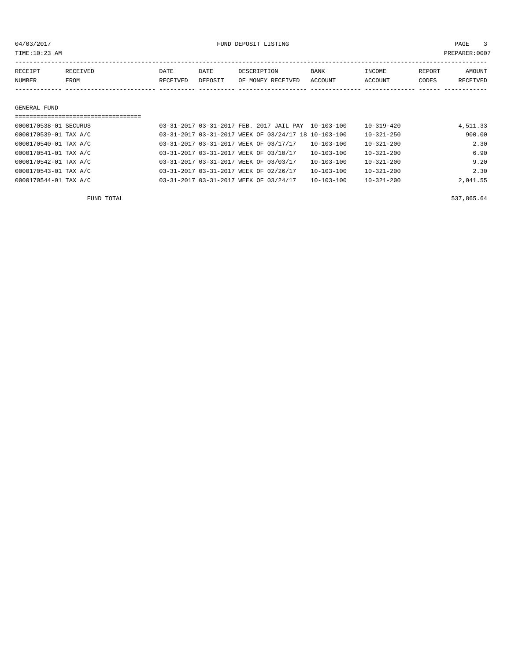04/03/2017 FUND DEPOSIT LISTING PAGE 3

| RECEIPT | RECEIVED    | DATE     | DATE    | DESCRIPTION       | <b>BANK</b> | INCOME  | REPORT | AMOUNT   |
|---------|-------------|----------|---------|-------------------|-------------|---------|--------|----------|
| NUMBER  | <b>FROM</b> | RECEIVED | DEPOSIT | OF MONEY RECEIVED | ACCOUNT     | ACCOUNT | CODES  | RECEIVED |
|         |             |          |         |                   |             |         |        |          |

GENERAL FUND

| ================================= |  |                                                      |                  |                  |          |
|-----------------------------------|--|------------------------------------------------------|------------------|------------------|----------|
| 0000170538-01 SECURUS             |  | 03-31-2017 03-31-2017 FEB. 2017 JAIL PAY 10-103-100  |                  | $10 - 319 - 420$ | 4,511.33 |
| 0000170539-01 TAX A/C             |  | 03-31-2017 03-31-2017 WEEK OF 03/24/17 18 10-103-100 |                  | $10 - 321 - 250$ | 900.00   |
| 0000170540-01 TAX A/C             |  | 03-31-2017 03-31-2017 WEEK OF 03/17/17               | $10 - 103 - 100$ | $10 - 321 - 200$ | 2.30     |
| 0000170541-01 TAX A/C             |  | 03-31-2017 03-31-2017 WEEK OF 03/10/17               | $10 - 103 - 100$ | $10 - 321 - 200$ | 6.90     |
| 0000170542-01 TAX A/C             |  | 03-31-2017 03-31-2017 WEEK OF 03/03/17               | $10 - 103 - 100$ | $10 - 321 - 200$ | 9.20     |
| 0000170543-01 TAX A/C             |  | 03-31-2017 03-31-2017 WEEK OF 02/26/17               | $10 - 103 - 100$ | $10 - 321 - 200$ | 2.30     |
| 0000170544-01 TAX A/C             |  | 03-31-2017 03-31-2017 WEEK OF 03/24/17               | $10 - 103 - 100$ | $10 - 321 - 200$ | 2,041.55 |

FUND TOTAL 537,865.64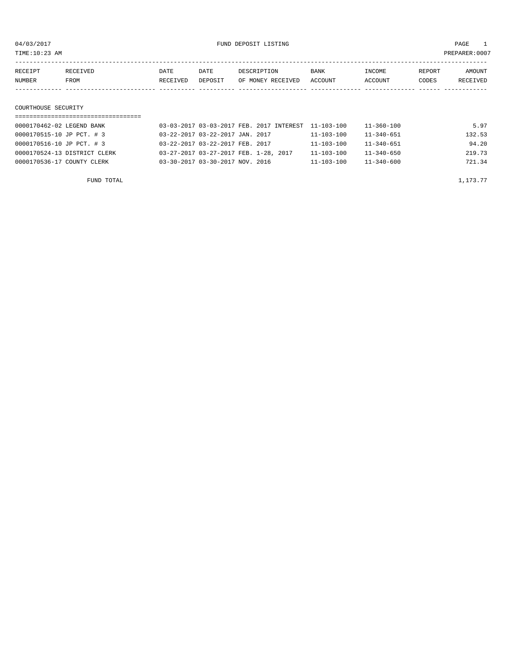${\rm UWD\ \, DEPOSIT\ \, LISTING\ \,} \label{eq:2017}$   ${\rm FUND\ \, DEPOSIT\ \, LISTING\ \,} \label{eq:2017}$ 

| TIME:10:23 AM                     |          |                                 |                                                     |                  |                  | PREPARER: 0007 |          |  |
|-----------------------------------|----------|---------------------------------|-----------------------------------------------------|------------------|------------------|----------------|----------|--|
| RECEIVED<br>RECEIPT               | DATE     | DATE                            | DESCRIPTION                                         | BANK             | INCOME           | REPORT         | AMOUNT   |  |
| NUMBER<br>FROM                    | RECEIVED | DEPOSIT                         | OF MONEY RECEIVED                                   | ACCOUNT          | ACCOUNT          | CODES          | RECEIVED |  |
|                                   |          |                                 |                                                     |                  |                  |                |          |  |
| COURTHOUSE SECURITY               |          |                                 |                                                     |                  |                  |                |          |  |
| ================================= |          |                                 |                                                     |                  |                  |                |          |  |
| 0000170462-02 LEGEND BANK         |          |                                 | 03-03-2017 03-03-2017 FEB. 2017 INTEREST 11-103-100 |                  | $11 - 360 - 100$ |                | 5.97     |  |
| 0000170515-10 JP PCT. # 3         |          | 03-22-2017 03-22-2017 JAN. 2017 |                                                     | $11 - 103 - 100$ | $11 - 340 - 651$ |                | 132.53   |  |

0000170516-10 JP PCT. # 3 03-22-2017 03-22-2017 FEB. 2017 11-103-100 11-340-651 94.20

| 0000170524-13 DISTRICT CLERK | 03-27-2017 03-27-2017 FEB. 1-28, 2017 | 11-103-100 | 11-340-650       | 219.73   |
|------------------------------|---------------------------------------|------------|------------------|----------|
| 0000170536-17 COUNTY CLERK   | 03-30-2017 03-30-2017 NOV. 2016       | 11-103-100 | $11 - 340 - 600$ | 721.34   |
| FUND TOTAL                   |                                       |            |                  | 1,173.77 |
|                              |                                       |            |                  |          |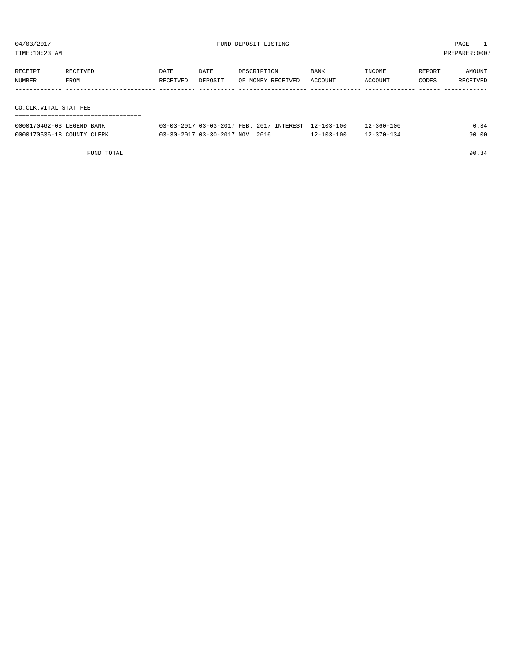| TIME:10:23 AM<br>PREPARER:0007 |          |          |         |                   |         |         |        |          |  |  |
|--------------------------------|----------|----------|---------|-------------------|---------|---------|--------|----------|--|--|
| RECEIPT                        | RECEIVED | DATE     | DATE    | DESCRIPTION       | BANK    | INCOME  | REPORT | AMOUNT   |  |  |
| NUMBER                         | FROM     | RECEIVED | DEPOSIT | OF MONEY RECEIVED | ACCOUNT | ACCOUNT | CODES  | RECEIVED |  |  |
|                                |          |          |         |                   |         |         |        |          |  |  |
| CO.CLK.VITAL STAT.FEE          |          |          |         |                   |         |         |        |          |  |  |
|                                |          |          |         |                   |         |         |        |          |  |  |

| 0000170462-03 LEGEND BANK  | 03-03-2017 03-03-2017 FEB. 2017 INTEREST 12-103-100 |                  | $12 - 360 - 100$ | 0.34  |
|----------------------------|-----------------------------------------------------|------------------|------------------|-------|
| 0000170536-18 COUNTY CLERK | 03-30-2017 03-30-2017 NOV. 2016                     | $12 - 103 - 100$ | $12 - 370 - 134$ | 90.00 |

FUND TOTAL 90.34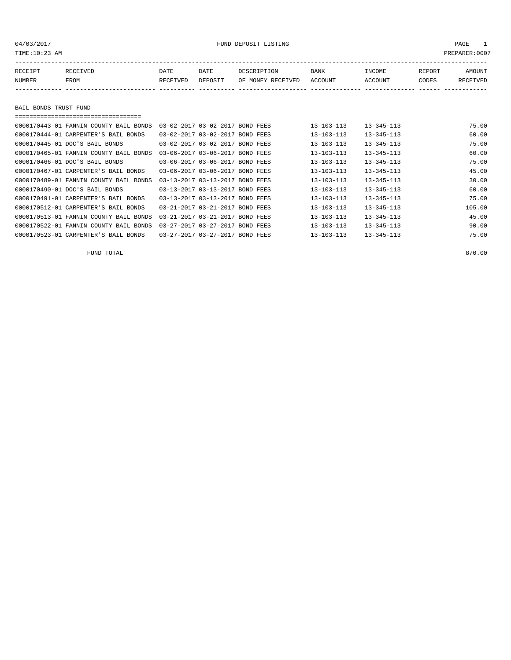TIME:10:23 AM PREPARER:0007

| RECEIPT | <b>RECEIVED</b> | DATE     | DATE    | DESCRIPTION       | <b>BANK</b> | INCOME  | REPORT | AMOUNT   |
|---------|-----------------|----------|---------|-------------------|-------------|---------|--------|----------|
| NUMBER  | FROM            | RECEIVED | DEPOSIT | OF MONEY RECEIVED | ACCOUNT     | ACCOUNT | CODES  | RECEIVED |
|         |                 |          |         |                   |             |         |        |          |

BAIL BONDS TRUST FUND

| -----------------------------------    |                                 |           |                  |                  |        |
|----------------------------------------|---------------------------------|-----------|------------------|------------------|--------|
| 0000170443-01 FANNIN COUNTY BAIL BONDS | 03-02-2017 03-02-2017 BOND FEES |           | $13 - 103 - 113$ | $13 - 345 - 113$ | 75.00  |
| 0000170444-01 CARPENTER'S BAIL BONDS   | 03-02-2017 03-02-2017 BOND FEES |           | $13 - 103 - 113$ | $13 - 345 - 113$ | 60.00  |
| 0000170445-01 DOC'S BAIL BONDS         | 03-02-2017 03-02-2017 BOND FEES |           | $13 - 103 - 113$ | $13 - 345 - 113$ | 75.00  |
| 0000170465-01 FANNIN COUNTY BAIL BONDS | 03-06-2017 03-06-2017 BOND FEES |           | $13 - 103 - 113$ | $13 - 345 - 113$ | 60.00  |
| 0000170466-01 DOC'S BAIL BONDS         | 03-06-2017 03-06-2017 BOND FEES |           | $13 - 103 - 113$ | $13 - 345 - 113$ | 75.00  |
| 0000170467-01 CARPENTER'S BAIL BONDS   | 03-06-2017 03-06-2017 BOND FEES |           | $13 - 103 - 113$ | $13 - 345 - 113$ | 45.00  |
| 0000170489-01 FANNIN COUNTY BAIL BONDS | 03-13-2017 03-13-2017 BOND FEES |           | $13 - 103 - 113$ | $13 - 345 - 113$ | 30.00  |
| 0000170490-01 DOC'S BAIL BONDS         | 03-13-2017 03-13-2017 BOND FEES |           | $13 - 103 - 113$ | $13 - 345 - 113$ | 60.00  |
| 0000170491-01 CARPENTER'S BAIL BONDS   | 03-13-2017 03-13-2017 BOND FEES |           | $13 - 103 - 113$ | $13 - 345 - 113$ | 75.00  |
| 0000170512-01 CARPENTER'S BAIL BONDS   | 03-21-2017 03-21-2017 BOND FEES |           | $13 - 103 - 113$ | $13 - 345 - 113$ | 105.00 |
| 0000170513-01 FANNIN COUNTY BAIL BONDS | 03-21-2017 03-21-2017 BOND FEES |           | $13 - 103 - 113$ | $13 - 345 - 113$ | 45.00  |
| 0000170522-01 FANNIN COUNTY BAIL BONDS | 03-27-2017 03-27-2017 BOND FEES |           | $13 - 103 - 113$ | $13 - 345 - 113$ | 90.00  |
| 0000170523-01 CARPENTER'S BAIL BONDS   | 03-27-2017 03-27-2017           | BOND FEES | $13 - 103 - 113$ | $13 - 345 - 113$ | 75.00  |

FUND TOTAL 870.00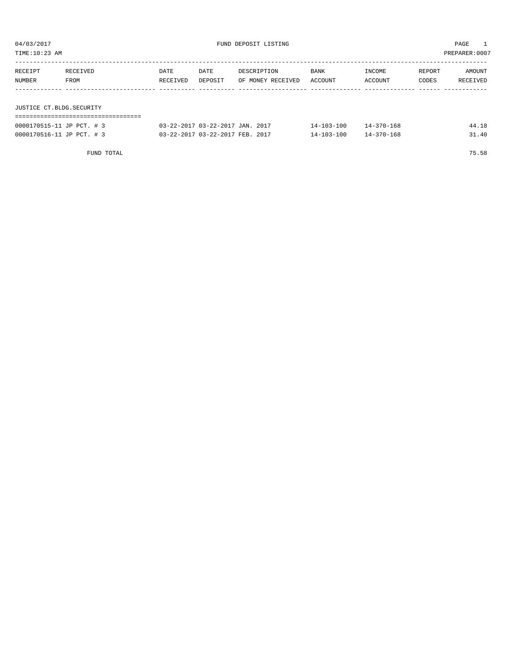${\small \texttt{UWD} \texttt{DEPOST} \texttt{LISTING} } \begin{array}{ll} \multicolumn{3}{c}{\texttt{M03/2017}} \end{array}$ 

| TIME:10:23 AM<br>PREPARER: 0007 |                  |                  |                                 |                                  |                  |                   |                 |                    |  |  |  |
|---------------------------------|------------------|------------------|---------------------------------|----------------------------------|------------------|-------------------|-----------------|--------------------|--|--|--|
| RECEIPT<br>NUMBER               | RECEIVED<br>FROM | DATE<br>RECEIVED | DATE<br>DEPOSIT                 | DESCRIPTION<br>OF MONEY RECEIVED | BANK<br>ACCOUNT  | INCOME<br>ACCOUNT | REPORT<br>CODES | AMOUNT<br>RECEIVED |  |  |  |
|                                 |                  |                  |                                 |                                  |                  |                   |                 |                    |  |  |  |
| JUSTICE CT.BLDG.SECURITY        |                  |                  |                                 |                                  |                  |                   |                 |                    |  |  |  |
|                                 |                  |                  |                                 |                                  |                  |                   |                 |                    |  |  |  |
| 0000170515-11 JP PCT. # 3       |                  |                  | 03-22-2017 03-22-2017 JAN. 2017 |                                  | $14 - 103 - 100$ | $14 - 370 - 168$  |                 | 44.18              |  |  |  |

| 0000170516-11 JP PCT. # 3 | 03-22-2017 03-22-2017 FEB. 2017 | $14 - 103 - 100$ | $14 - 370 - 168$ | 31.40 |
|---------------------------|---------------------------------|------------------|------------------|-------|
|                           |                                 |                  |                  |       |
|                           |                                 |                  |                  |       |

FUND TOTAL 75.58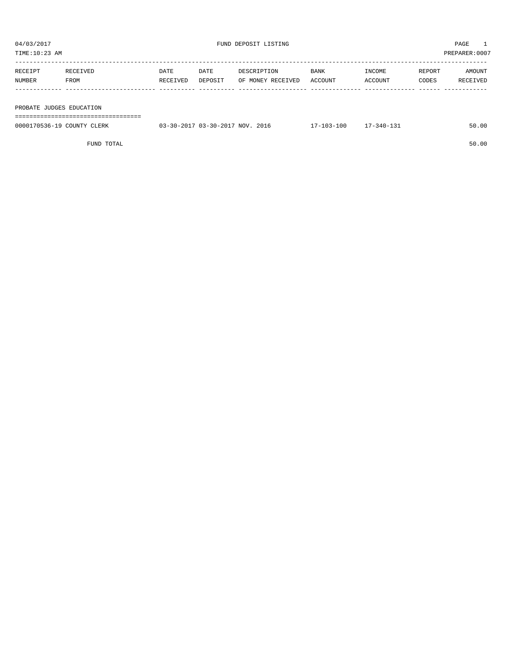| 04/03/2017<br>TIME:10:23 AM |                                 |                  |                 | FUND DEPOSIT LISTING             | PAGE<br>PREPARER: 0007 |                   |                 |                    |
|-----------------------------|---------------------------------|------------------|-----------------|----------------------------------|------------------------|-------------------|-----------------|--------------------|
| RECEIPT<br>NUMBER           | RECEIVED<br>FROM                | DATE<br>RECEIVED | DATE<br>DEPOSIT | DESCRIPTION<br>OF MONEY RECEIVED | BANK<br>ACCOUNT        | INCOME<br>ACCOUNT | REPORT<br>CODES | AMOUNT<br>RECEIVED |
| PROBATE JUDGES EDUCATION    | =============================== |                  |                 |                                  |                        |                   |                 |                    |

| 0000170536-19 COUNTY CLERK | 03-30-2017 03-30-2017 NOV. 2016 | 7-103-100 | $77 - 340 - 131$ | 50.00 |
|----------------------------|---------------------------------|-----------|------------------|-------|
|                            |                                 |           |                  |       |
|                            |                                 |           |                  |       |

FUND TOTAL 50.00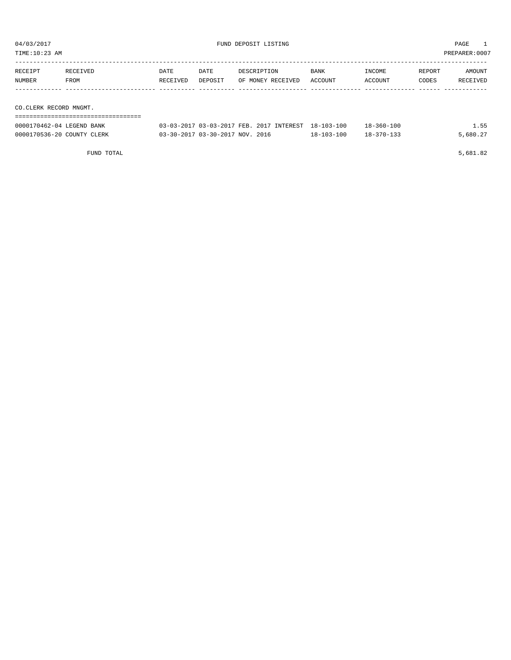| 04/03/2017<br>TIME:10:23 AM                         |                  |                  |                 | FUND DEPOSIT LISTING                                |                 |                   |                 | PAGE<br>PREPARER: 0007 |
|-----------------------------------------------------|------------------|------------------|-----------------|-----------------------------------------------------|-----------------|-------------------|-----------------|------------------------|
| RECEIPT<br>NUMBER                                   | RECEIVED<br>FROM | DATE<br>RECEIVED | DATE<br>DEPOSIT | DESCRIPTION<br>OF MONEY RECEIVED                    | BANK<br>ACCOUNT | INCOME<br>ACCOUNT | REPORT<br>CODES | AMOUNT<br>RECEIVED     |
| CO.CLERK RECORD MNGMT.<br>0000170462-04 LEGEND BANK |                  |                  |                 | 03-03-2017 03-03-2017 FEB. 2017 INTEREST 18-103-100 |                 | $18 - 360 - 100$  |                 | 1.55                   |

0000170536-20 COUNTY CLERK 03-30-2017 03-30-2017 NOV. 2016 18-103-100 18-370-133 5,680.27

FUND TOTAL 5,681.82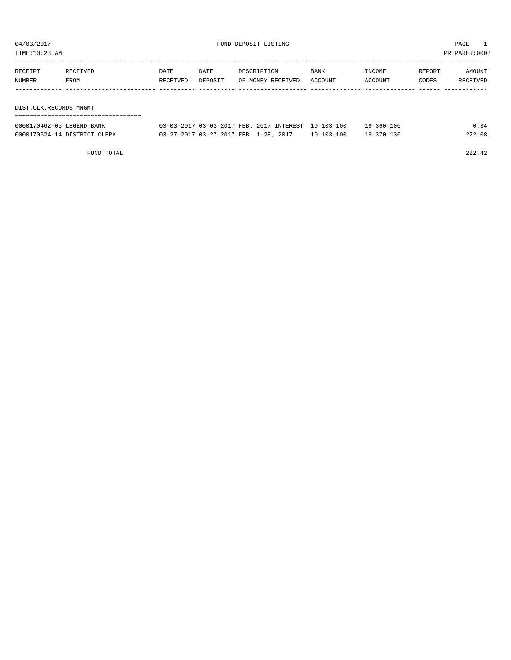| DIST.CLK.RECORDS MNGMT. |          |          |         |                   |         |         |        |               |
|-------------------------|----------|----------|---------|-------------------|---------|---------|--------|---------------|
|                         |          |          |         |                   |         |         |        |               |
| NUMBER                  | FROM     | RECEIVED | DEPOSIT | OF MONEY RECEIVED | ACCOUNT | ACCOUNT | CODES  | RECEIVED      |
| RECEIPT                 | RECEIVED | DATE     | DATE    | DESCRIPTION       | BANK    | INCOME  | REPORT | AMOUNT        |
|                         |          |          |         |                   |         |         |        |               |
| TIME:10:23 AM           |          |          |         |                   |         |         |        | PREPARER:0007 |

| 0000170462-05 LEGEND BANK    | 03-03-2017 03-03-2017 FEB. 2017 INTEREST 19-103-100 |                  | $19 - 360 - 100$ |        |
|------------------------------|-----------------------------------------------------|------------------|------------------|--------|
| 0000170524-14 DISTRICT CLERK | 03-27-2017 03-27-2017 FEB. 1-28, 2017               | $19 - 103 - 100$ | 19-370-136       | 222.08 |

FUND TOTAL 222.42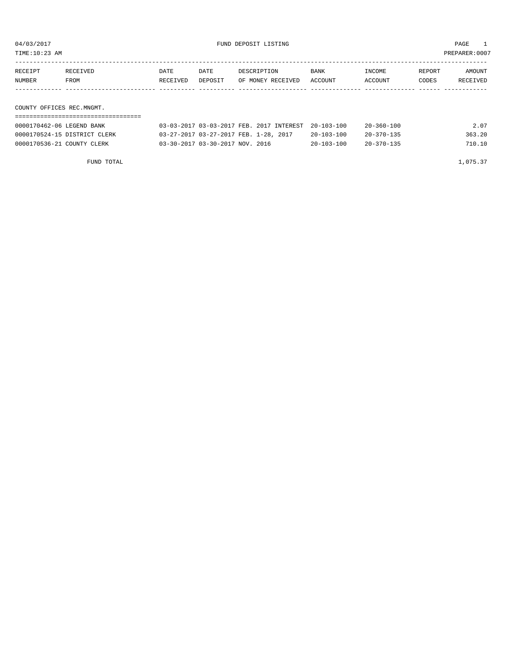| 04/03/2017<br>FUND DEPOSIT LISTING<br>TIME:10:23 AM |                              |                  |                 |                                                                                   |                                      |                                      | PAGE<br>PREPARER: 0007 |                    |
|-----------------------------------------------------|------------------------------|------------------|-----------------|-----------------------------------------------------------------------------------|--------------------------------------|--------------------------------------|------------------------|--------------------|
| RECEIPT<br>NUMBER                                   | RECEIVED<br>FROM             | DATE<br>RECEIVED | DATE<br>DEPOSIT | DESCRIPTION<br>OF MONEY RECEIVED                                                  | BANK<br>ACCOUNT                      | INCOME<br>ACCOUNT                    | REPORT<br>CODES        | AMOUNT<br>RECEIVED |
| COUNTY OFFICES REC.MNGMT.                           |                              |                  |                 |                                                                                   |                                      |                                      |                        |                    |
| 0000170462-06 LEGEND BANK                           | 0000170524-15 DISTRICT CLERK |                  |                 | 03-03-2017 03-03-2017 FEB. 2017 INTEREST<br>03-27-2017 03-27-2017 FEB. 1-28, 2017 | $20 - 103 - 100$<br>$20 - 103 - 100$ | $20 - 360 - 100$<br>$20 - 370 - 135$ |                        | 2.07<br>363.20     |

0000170536-21 COUNTY CLERK 03-30-2017 03-30-2017 NOV. 2016 20-103-100 20-370-135 710.10

FUND TOTAL 1,075.37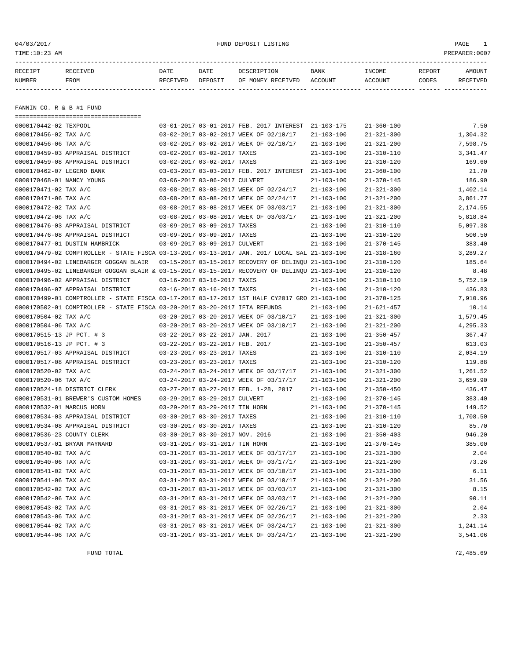FANNIN CO. R & B #1 FUND

===================================

04/03/2017 PAGE 1

| RECEIPT | RECEIVED | DATE     | DATE    | DESCRIPTION       | <b>BANK</b> | INCOME  | REPORT | <b>AMOUNT</b> |
|---------|----------|----------|---------|-------------------|-------------|---------|--------|---------------|
| NUMBER  | FROM     | RECEIVED | DEPOSIT | OF MONEY RECEIVED | ACCOUNT     | ACCOUNT | CODES  | RECEIVED      |
|         |          |          |         |                   |             |         |        |               |

0000170442-02 TEXPOOL 03-01-2017 03-01-2017 FEB. 2017 INTEREST 21-103-175 21-360-100 7.50

FUND TOTAL 72,485.69

| 0000170456-02 TAX A/C            |                                                                                              |                                 | 03-02-2017 03-02-2017 WEEK OF 02/10/17               | $21 - 103 - 100$ | $21 - 321 - 300$ | 1,304.32 |
|----------------------------------|----------------------------------------------------------------------------------------------|---------------------------------|------------------------------------------------------|------------------|------------------|----------|
| 0000170456-06 TAX A/C            |                                                                                              |                                 | 03-02-2017 03-02-2017 WEEK OF 02/10/17               | $21 - 103 - 100$ | $21 - 321 - 200$ | 7,598.75 |
| 0000170459-03 APPRAISAL DISTRICT |                                                                                              | 03-02-2017 03-02-2017 TAXES     |                                                      | $21 - 103 - 100$ | $21 - 310 - 110$ | 3,341.47 |
| 0000170459-08 APPRAISAL DISTRICT |                                                                                              | 03-02-2017 03-02-2017 TAXES     |                                                      | $21 - 103 - 100$ | $21 - 310 - 120$ | 169.60   |
| 0000170462-07 LEGEND BANK        |                                                                                              |                                 | 03-03-2017 03-03-2017 FEB. 2017 INTEREST 21-103-100  |                  | $21 - 360 - 100$ | 21.70    |
| 0000170468-01 NANCY YOUNG        |                                                                                              | 03-06-2017 03-06-2017 CULVERT   |                                                      | $21 - 103 - 100$ | $21 - 370 - 145$ | 186.90   |
| 0000170471-02 TAX A/C            |                                                                                              |                                 | 03-08-2017 03-08-2017 WEEK OF 02/24/17               | $21 - 103 - 100$ | $21 - 321 - 300$ | 1,402.14 |
| 0000170471-06 TAX A/C            |                                                                                              |                                 | 03-08-2017 03-08-2017 WEEK OF 02/24/17               | $21 - 103 - 100$ | $21 - 321 - 200$ | 3,861.77 |
| 0000170472-02 TAX A/C            |                                                                                              |                                 | 03-08-2017 03-08-2017 WEEK OF 03/03/17               | $21 - 103 - 100$ | $21 - 321 - 300$ | 2,174.55 |
| 0000170472-06 TAX A/C            |                                                                                              |                                 | 03-08-2017 03-08-2017 WEEK OF 03/03/17               | $21 - 103 - 100$ | $21 - 321 - 200$ | 5,818.84 |
| 0000170476-03 APPRAISAL DISTRICT |                                                                                              | 03-09-2017 03-09-2017 TAXES     |                                                      | $21 - 103 - 100$ | $21 - 310 - 110$ | 5,097.38 |
| 0000170476-08 APPRAISAL DISTRICT |                                                                                              | 03-09-2017 03-09-2017 TAXES     |                                                      | $21 - 103 - 100$ | $21 - 310 - 120$ | 500.50   |
| 0000170477-01 DUSTIN HAMBRICK    |                                                                                              | 03-09-2017 03-09-2017 CULVERT   |                                                      | $21 - 103 - 100$ | $21 - 370 - 145$ | 383.40   |
|                                  | 0000170479-02 COMPTROLLER - STATE FISCA 03-13-2017 03-13-2017 JAN. 2017 LOCAL SAL 21-103-100 |                                 |                                                      |                  | $21 - 318 - 160$ | 3,289.27 |
|                                  | 0000170494-02 LINEBARGER GOGGAN BLAIR                                                        |                                 | 03-15-2017 03-15-2017 RECOVERY OF DELINOU 21-103-100 |                  | $21 - 310 - 120$ | 185.64   |
|                                  | 0000170495-02 LINEBARGER GOGGAN BLAIR & 03-15-2017 03-15-2017 RECOVERY OF DELINOU 21-103-100 |                                 |                                                      |                  | $21 - 310 - 120$ | 8.48     |
| 0000170496-02 APPRAISAL DISTRICT |                                                                                              | 03-16-2017 03-16-2017 TAXES     |                                                      | $21 - 103 - 100$ | $21 - 310 - 110$ | 5,752.19 |
| 0000170496-07 APPRAISAL DISTRICT |                                                                                              | 03-16-2017 03-16-2017 TAXES     |                                                      | $21 - 103 - 100$ | $21 - 310 - 120$ | 436.83   |
|                                  | 0000170499-01 COMPTROLLER - STATE FISCA 03-17-2017 03-17-2017 1ST HALF CY2017 GRO 21-103-100 |                                 |                                                      |                  | $21 - 370 - 125$ | 7,910.96 |
|                                  | 0000170502-01 COMPTROLLER - STATE FISCA 03-20-2017 03-20-2017 IFTA REFUNDS                   |                                 |                                                      | $21 - 103 - 100$ | $21 - 621 - 457$ | 10.14    |
| 0000170504-02 TAX A/C            |                                                                                              |                                 | 03-20-2017 03-20-2017 WEEK OF 03/10/17               | $21 - 103 - 100$ | $21 - 321 - 300$ | 1,579.45 |
| 0000170504-06 TAX A/C            |                                                                                              |                                 | 03-20-2017 03-20-2017 WEEK OF 03/10/17               | $21 - 103 - 100$ | $21 - 321 - 200$ | 4,295.33 |
| 0000170515-13 JP PCT. # 3        |                                                                                              | 03-22-2017 03-22-2017 JAN. 2017 |                                                      | $21 - 103 - 100$ | $21 - 350 - 457$ | 367.47   |
| 0000170516-13 JP PCT. # 3        |                                                                                              | 03-22-2017 03-22-2017 FEB. 2017 |                                                      | $21 - 103 - 100$ | $21 - 350 - 457$ | 613.03   |
| 0000170517-03 APPRAISAL DISTRICT |                                                                                              | 03-23-2017 03-23-2017 TAXES     |                                                      | $21 - 103 - 100$ | $21 - 310 - 110$ | 2,034.19 |
| 0000170517-08 APPRAISAL DISTRICT |                                                                                              | 03-23-2017 03-23-2017 TAXES     |                                                      | $21 - 103 - 100$ | $21 - 310 - 120$ | 119.88   |
| 0000170520-02 TAX A/C            |                                                                                              |                                 | 03-24-2017 03-24-2017 WEEK OF 03/17/17               | $21 - 103 - 100$ | $21 - 321 - 300$ | 1,261.52 |
| 0000170520-06 TAX A/C            |                                                                                              |                                 | 03-24-2017 03-24-2017 WEEK OF 03/17/17               | $21 - 103 - 100$ | $21 - 321 - 200$ | 3,659.90 |
| 0000170524-18 DISTRICT CLERK     |                                                                                              |                                 | 03-27-2017 03-27-2017 FEB. 1-28, 2017                | $21 - 103 - 100$ | $21 - 350 - 450$ | 436.47   |
|                                  | 0000170531-01 BREWER'S CUSTOM HOMES                                                          | 03-29-2017 03-29-2017 CULVERT   |                                                      | $21 - 103 - 100$ | $21 - 370 - 145$ | 383.40   |
| 0000170532-01 MARCUS HORN        |                                                                                              | 03-29-2017 03-29-2017 TIN HORN  |                                                      | $21 - 103 - 100$ | $21 - 370 - 145$ | 149.52   |
| 0000170534-03 APPRAISAL DISTRICT |                                                                                              | 03-30-2017 03-30-2017 TAXES     |                                                      | $21 - 103 - 100$ | $21 - 310 - 110$ | 1,708.50 |
| 0000170534-08 APPRAISAL DISTRICT |                                                                                              | 03-30-2017 03-30-2017 TAXES     |                                                      | $21 - 103 - 100$ | $21 - 310 - 120$ | 85.70    |
| 0000170536-23 COUNTY CLERK       |                                                                                              | 03-30-2017 03-30-2017 NOV. 2016 |                                                      | $21 - 103 - 100$ | $21 - 350 - 403$ | 946.20   |
| 0000170537-01 BRYAN MAYNARD      |                                                                                              | 03-31-2017 03-31-2017 TIN HORN  |                                                      | $21 - 103 - 100$ | $21 - 370 - 145$ | 385.00   |
| 0000170540-02 TAX A/C            |                                                                                              |                                 | 03-31-2017 03-31-2017 WEEK OF 03/17/17               | $21 - 103 - 100$ | $21 - 321 - 300$ | 2.04     |
| 0000170540-06 TAX A/C            |                                                                                              |                                 | 03-31-2017 03-31-2017 WEEK OF 03/17/17               | $21 - 103 - 100$ | $21 - 321 - 200$ | 73.26    |
| 0000170541-02 TAX A/C            |                                                                                              |                                 | 03-31-2017 03-31-2017 WEEK OF 03/10/17               | $21 - 103 - 100$ | $21 - 321 - 300$ | 6.11     |
| 0000170541-06 TAX A/C            |                                                                                              |                                 | 03-31-2017 03-31-2017 WEEK OF 03/10/17               | $21 - 103 - 100$ | $21 - 321 - 200$ | 31.56    |
| 0000170542-02 TAX A/C            |                                                                                              |                                 | 03-31-2017 03-31-2017 WEEK OF 03/03/17               | $21 - 103 - 100$ | $21 - 321 - 300$ | 8.15     |
| 0000170542-06 TAX A/C            |                                                                                              |                                 | 03-31-2017 03-31-2017 WEEK OF 03/03/17               | $21 - 103 - 100$ | $21 - 321 - 200$ | 90.11    |
| 0000170543-02 TAX A/C            |                                                                                              |                                 | 03-31-2017 03-31-2017 WEEK OF 02/26/17               | $21 - 103 - 100$ | $21 - 321 - 300$ | 2.04     |
| 0000170543-06 TAX A/C            |                                                                                              |                                 | 03-31-2017 03-31-2017 WEEK OF 02/26/17               | $21 - 103 - 100$ | $21 - 321 - 200$ | 2.33     |
| 0000170544-02 TAX A/C            |                                                                                              |                                 | 03-31-2017 03-31-2017 WEEK OF 03/24/17               | $21 - 103 - 100$ | $21 - 321 - 300$ | 1,241.14 |
| 0000170544-06 TAX A/C            |                                                                                              |                                 | 03-31-2017 03-31-2017 WEEK OF 03/24/17               | $21 - 103 - 100$ | $21 - 321 - 200$ | 3,541.06 |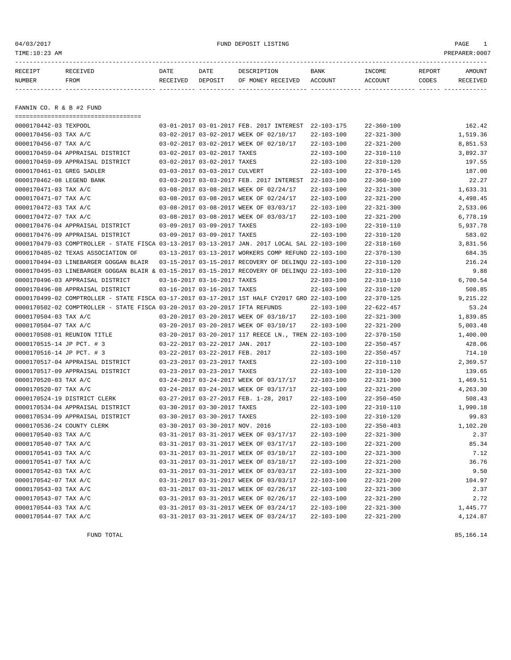## 04/03/2017 FUND DEPOSIT LISTING PAGE 1

| RECEIPT | RECEIVED | DATE     | DATE    | DESCRIPTION       | <b>BANK</b> | INCOME  | REPORT | AMOUNT          |
|---------|----------|----------|---------|-------------------|-------------|---------|--------|-----------------|
| NUMBER  | FROM     | RECEIVED | DEPOSIT | OF MONEY RECEIVED | ACCOUNT     | ACCOUNT | CODES  | <b>RECEIVED</b> |
|         |          |          |         |                   |             |         |        |                 |

FANNIN CO. R & B #2 FUND

| ======================================                                                       |                                 |                                                      |                  |                  |          |
|----------------------------------------------------------------------------------------------|---------------------------------|------------------------------------------------------|------------------|------------------|----------|
| 0000170442-03 TEXPOOL                                                                        |                                 | 03-01-2017 03-01-2017 FEB. 2017 INTEREST             | $22 - 103 - 175$ | $22 - 360 - 100$ | 162.42   |
| 0000170456-03 TAX A/C                                                                        |                                 | 03-02-2017 03-02-2017 WEEK OF 02/10/17               | $22 - 103 - 100$ | $22 - 321 - 300$ | 1,519.36 |
| 0000170456-07 TAX A/C                                                                        |                                 | 03-02-2017 03-02-2017 WEEK OF 02/10/17               | $22 - 103 - 100$ | $22 - 321 - 200$ | 8,851.53 |
| 0000170459-04 APPRAISAL DISTRICT                                                             | 03-02-2017 03-02-2017 TAXES     |                                                      | $22 - 103 - 100$ | $22 - 310 - 110$ | 3,892.37 |
| 0000170459-09 APPRAISAL DISTRICT                                                             | 03-02-2017 03-02-2017 TAXES     |                                                      | $22 - 103 - 100$ | $22 - 310 - 120$ | 197.55   |
| 0000170461-01 GREG SADLER                                                                    | 03-03-2017 03-03-2017 CULVERT   |                                                      | $22 - 103 - 100$ | $22 - 370 - 145$ | 187.00   |
| 0000170462-08 LEGEND BANK                                                                    |                                 | 03-03-2017 03-03-2017 FEB. 2017 INTEREST             | $22 - 103 - 100$ | $22 - 360 - 100$ | 22.27    |
| 0000170471-03 TAX A/C                                                                        |                                 | 03-08-2017 03-08-2017 WEEK OF 02/24/17               | $22 - 103 - 100$ | $22 - 321 - 300$ | 1,633.31 |
| 0000170471-07 TAX A/C                                                                        |                                 | 03-08-2017 03-08-2017 WEEK OF 02/24/17               | $22 - 103 - 100$ | $22 - 321 - 200$ | 4,498.45 |
| 0000170472-03 TAX A/C                                                                        |                                 | 03-08-2017 03-08-2017 WEEK OF 03/03/17               | $22 - 103 - 100$ | $22 - 321 - 300$ | 2,533.06 |
| 0000170472-07 TAX A/C                                                                        |                                 | 03-08-2017 03-08-2017 WEEK OF 03/03/17               | $22 - 103 - 100$ | $22 - 321 - 200$ | 6,778.19 |
| 0000170476-04 APPRAISAL DISTRICT                                                             | 03-09-2017 03-09-2017 TAXES     |                                                      | $22 - 103 - 100$ | $22 - 310 - 110$ | 5,937.78 |
| 0000170476-09 APPRAISAL DISTRICT                                                             | 03-09-2017 03-09-2017 TAXES     |                                                      | $22 - 103 - 100$ | $22 - 310 - 120$ | 583.02   |
| 0000170479-03 COMPTROLLER - STATE FISCA 03-13-2017 03-13-2017 JAN. 2017 LOCAL SAL 22-103-100 |                                 |                                                      |                  | $22 - 318 - 160$ | 3,831.56 |
| 0000170485-02 TEXAS ASSOCIATION OF                                                           |                                 | 03-13-2017 03-13-2017 WORKERS COMP REFUND 22-103-100 |                  | $22 - 370 - 130$ | 684.35   |
| 0000170494-03 LINEBARGER GOGGAN BLAIR                                                        |                                 | 03-15-2017 03-15-2017 RECOVERY OF DELINOU 22-103-100 |                  | $22 - 310 - 120$ | 216.24   |
| 0000170495-03 LINEBARGER GOGGAN BLAIR & 03-15-2017 03-15-2017 RECOVERY OF DELINOU 22-103-100 |                                 |                                                      |                  | $22 - 310 - 120$ | 9.88     |
| 0000170496-03 APPRAISAL DISTRICT                                                             | 03-16-2017 03-16-2017 TAXES     |                                                      | $22 - 103 - 100$ | $22 - 310 - 110$ | 6,700.54 |
| 0000170496-08 APPRAISAL DISTRICT                                                             | 03-16-2017 03-16-2017 TAXES     |                                                      | $22 - 103 - 100$ | $22 - 310 - 120$ | 508.85   |
| 0000170499-02 COMPTROLLER - STATE FISCA 03-17-2017 03-17-2017 1ST HALF CY2017 GRO 22-103-100 |                                 |                                                      |                  | $22 - 370 - 125$ | 9,215.22 |
| 0000170502-02 COMPTROLLER - STATE FISCA 03-20-2017 03-20-2017 IFTA REFUNDS                   |                                 |                                                      | $22 - 103 - 100$ | $22 - 622 - 457$ | 53.24    |
| 0000170504-03 TAX A/C                                                                        |                                 | 03-20-2017 03-20-2017 WEEK OF 03/10/17               | $22 - 103 - 100$ | $22 - 321 - 300$ | 1,839.85 |
| 0000170504-07 TAX A/C                                                                        |                                 | 03-20-2017 03-20-2017 WEEK OF 03/10/17               | $22 - 103 - 100$ | $22 - 321 - 200$ | 5,003.48 |
| 0000170508-01 REUNION TITLE                                                                  |                                 | 03-20-2017 03-20-2017 117 REECE LN., TREN 22-103-100 |                  | $22 - 370 - 150$ | 1,400.00 |
| 0000170515-14 JP PCT. # 3                                                                    | 03-22-2017 03-22-2017 JAN. 2017 |                                                      | $22 - 103 - 100$ | $22 - 350 - 457$ | 428.06   |
| 0000170516-14 JP PCT. # 3                                                                    | 03-22-2017 03-22-2017 FEB. 2017 |                                                      | $22 - 103 - 100$ | $22 - 350 - 457$ | 714.10   |
| 0000170517-04 APPRAISAL DISTRICT                                                             | 03-23-2017 03-23-2017 TAXES     |                                                      | $22 - 103 - 100$ | $22 - 310 - 110$ | 2,369.57 |
| 0000170517-09 APPRAISAL DISTRICT                                                             | 03-23-2017 03-23-2017 TAXES     |                                                      | $22 - 103 - 100$ | $22 - 310 - 120$ | 139.65   |
| 0000170520-03 TAX A/C                                                                        |                                 | 03-24-2017 03-24-2017 WEEK OF 03/17/17               | $22 - 103 - 100$ | $22 - 321 - 300$ | 1,469.51 |
| 0000170520-07 TAX A/C                                                                        |                                 | 03-24-2017 03-24-2017 WEEK OF 03/17/17               | $22 - 103 - 100$ | $22 - 321 - 200$ | 4,263.30 |
| 0000170524-19 DISTRICT CLERK                                                                 |                                 | 03-27-2017 03-27-2017 FEB. 1-28, 2017                | $22 - 103 - 100$ | $22 - 350 - 450$ | 508.43   |
| 0000170534-04 APPRAISAL DISTRICT                                                             | 03-30-2017 03-30-2017 TAXES     |                                                      | $22 - 103 - 100$ | $22 - 310 - 110$ | 1,990.18 |
| 0000170534-09 APPRAISAL DISTRICT                                                             | 03-30-2017 03-30-2017 TAXES     |                                                      | $22 - 103 - 100$ | $22 - 310 - 120$ | 99.83    |
| 0000170536-24 COUNTY CLERK                                                                   | 03-30-2017 03-30-2017 NOV. 2016 |                                                      | $22 - 103 - 100$ | $22 - 350 - 403$ | 1,102.20 |
| 0000170540-03 TAX A/C                                                                        |                                 | 03-31-2017 03-31-2017 WEEK OF 03/17/17               | $22 - 103 - 100$ | $22 - 321 - 300$ | 2.37     |
| 0000170540-07 TAX A/C                                                                        |                                 | 03-31-2017 03-31-2017 WEEK OF 03/17/17               | $22 - 103 - 100$ | $22 - 321 - 200$ | 85.34    |
| 0000170541-03 TAX A/C                                                                        |                                 | 03-31-2017 03-31-2017 WEEK OF 03/10/17               | $22 - 103 - 100$ | $22 - 321 - 300$ | 7.12     |
| 0000170541-07 TAX A/C                                                                        |                                 | 03-31-2017 03-31-2017 WEEK OF 03/10/17               | $22 - 103 - 100$ | $22 - 321 - 200$ | 36.76    |
| 0000170542-03 TAX A/C                                                                        |                                 | 03-31-2017 03-31-2017 WEEK OF 03/03/17               | $22 - 103 - 100$ | $22 - 321 - 300$ | 9.50     |
| 0000170542-07 TAX A/C                                                                        |                                 | 03-31-2017 03-31-2017 WEEK OF 03/03/17               | $22 - 103 - 100$ | $22 - 321 - 200$ | 104.97   |
| 0000170543-03 TAX A/C                                                                        |                                 | 03-31-2017 03-31-2017 WEEK OF 02/26/17               | $22 - 103 - 100$ | $22 - 321 - 300$ | 2.37     |
| 0000170543-07 TAX A/C                                                                        |                                 | 03-31-2017 03-31-2017 WEEK OF 02/26/17               | $22 - 103 - 100$ | $22 - 321 - 200$ | 2.72     |
| 0000170544-03 TAX A/C                                                                        |                                 | 03-31-2017 03-31-2017 WEEK OF 03/24/17               | $22 - 103 - 100$ | $22 - 321 - 300$ | 1,445.77 |
| 0000170544-07 TAX A/C                                                                        |                                 | 03-31-2017 03-31-2017 WEEK OF 03/24/17               | $22 - 103 - 100$ | $22 - 321 - 200$ | 4,124.87 |
|                                                                                              |                                 |                                                      |                  |                  |          |

FUND TOTAL 85,166.14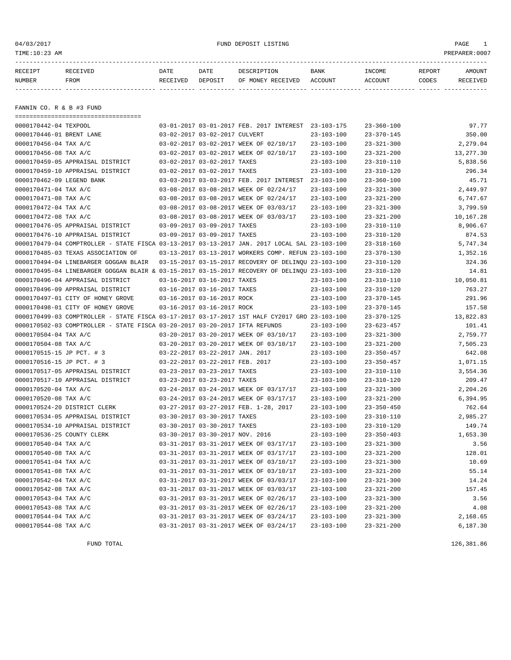## 04/03/2017 FUND DEPOSIT LISTING PAGE 1

| RECEIPT       | <b>RECEIVED</b> | DATE     | DATE    | DESCRIPTION       | <b>BANK</b> | INCOME  | REPORT | AMOUNT   |
|---------------|-----------------|----------|---------|-------------------|-------------|---------|--------|----------|
| <b>NUMBER</b> | FROM            | RECEIVED | DEPOSIT | OF MONEY RECEIVED | ACCOUNT     | ACCOUNT | CODES  | RECEIVED |
|               |                 |          |         |                   |             |         |        |          |

FANNIN CO. R & B #3 FUND

|                            | =====================================                                                        |                                 |                                                      |                  |                  |           |
|----------------------------|----------------------------------------------------------------------------------------------|---------------------------------|------------------------------------------------------|------------------|------------------|-----------|
| 0000170442-04 TEXPOOL      |                                                                                              |                                 | 03-01-2017 03-01-2017 FEB. 2017 INTEREST             | $23 - 103 - 175$ | $23 - 360 - 100$ | 97.77     |
| 0000170446-01 BRENT LANE   |                                                                                              | 03-02-2017 03-02-2017 CULVERT   |                                                      | $23 - 103 - 100$ | $23 - 370 - 145$ | 350.00    |
| 0000170456-04 TAX A/C      |                                                                                              |                                 | 03-02-2017 03-02-2017 WEEK OF 02/10/17               | $23 - 103 - 100$ | $23 - 321 - 300$ | 2,279.04  |
| 0000170456-08 TAX A/C      |                                                                                              |                                 | 03-02-2017 03-02-2017 WEEK OF 02/10/17               | $23 - 103 - 100$ | $23 - 321 - 200$ | 13,277.30 |
|                            | 0000170459-05 APPRAISAL DISTRICT                                                             | 03-02-2017 03-02-2017 TAXES     |                                                      | $23 - 103 - 100$ | $23 - 310 - 110$ | 5,838.56  |
|                            | 0000170459-10 APPRAISAL DISTRICT                                                             | 03-02-2017 03-02-2017 TAXES     |                                                      | $23 - 103 - 100$ | $23 - 310 - 120$ | 296.34    |
| 0000170462-09 LEGEND BANK  |                                                                                              |                                 | 03-03-2017 03-03-2017 FEB. 2017 INTEREST             | $23 - 103 - 100$ | $23 - 360 - 100$ | 45.71     |
| 0000170471-04 TAX A/C      |                                                                                              |                                 | 03-08-2017 03-08-2017 WEEK OF 02/24/17               | $23 - 103 - 100$ | $23 - 321 - 300$ | 2,449.97  |
| 0000170471-08 TAX A/C      |                                                                                              |                                 | 03-08-2017 03-08-2017 WEEK OF 02/24/17               | $23 - 103 - 100$ | $23 - 321 - 200$ | 6.747.67  |
| 0000170472-04 TAX A/C      |                                                                                              |                                 | 03-08-2017 03-08-2017 WEEK OF 03/03/17               | $23 - 103 - 100$ | $23 - 321 - 300$ | 3,799.59  |
| 0000170472-08 TAX A/C      |                                                                                              |                                 | 03-08-2017 03-08-2017 WEEK OF 03/03/17               | $23 - 103 - 100$ | $23 - 321 - 200$ | 10,167.28 |
|                            | 0000170476-05 APPRAISAL DISTRICT                                                             | 03-09-2017 03-09-2017 TAXES     |                                                      | $23 - 103 - 100$ | $23 - 310 - 110$ | 8,906.67  |
|                            | 0000170476-10 APPRAISAL DISTRICT                                                             | 03-09-2017 03-09-2017 TAXES     |                                                      | $23 - 103 - 100$ | $23 - 310 - 120$ | 874.53    |
|                            | 0000170479-04 COMPTROLLER - STATE FISCA 03-13-2017 03-13-2017 JAN. 2017 LOCAL SAL 23-103-100 |                                 |                                                      |                  | $23 - 318 - 160$ | 5,747.34  |
|                            | 0000170485-03 TEXAS ASSOCIATION OF                                                           |                                 | 03-13-2017 03-13-2017 WORKERS COMP. REFUN 23-103-100 |                  | $23 - 370 - 130$ | 1,352.16  |
|                            | 0000170494-04 LINEBARGER GOGGAN BLAIR                                                        |                                 | 03-15-2017 03-15-2017 RECOVERY OF DELINQU 23-103-100 |                  | $23 - 310 - 120$ | 324.36    |
|                            | 0000170495-04 LINEBARGER GOGGAN BLAIR & 03-15-2017 03-15-2017 RECOVERY OF DELINQU 23-103-100 |                                 |                                                      |                  | $23 - 310 - 120$ | 14.81     |
|                            | 0000170496-04 APPRAISAL DISTRICT                                                             | 03-16-2017 03-16-2017 TAXES     |                                                      | $23 - 103 - 100$ | $23 - 310 - 110$ | 10,050.81 |
|                            | 0000170496-09 APPRAISAL DISTRICT                                                             | 03-16-2017 03-16-2017 TAXES     |                                                      | $23 - 103 - 100$ | $23 - 310 - 120$ | 763.27    |
|                            | 0000170497-01 CITY OF HONEY GROVE                                                            | 03-16-2017 03-16-2017 ROCK      |                                                      | $23 - 103 - 100$ | $23 - 370 - 145$ | 291.96    |
|                            | 0000170498-01 CITY OF HONEY GROVE                                                            | 03-16-2017 03-16-2017 ROCK      |                                                      | $23 - 103 - 100$ | $23 - 370 - 145$ | 157.58    |
|                            | 0000170499-03 COMPTROLLER - STATE FISCA 03-17-2017 03-17-2017 1ST HALF CY2017 GRO 23-103-100 |                                 |                                                      |                  | $23 - 370 - 125$ | 13,822.83 |
|                            | 0000170502-03 COMPTROLLER - STATE FISCA 03-20-2017 03-20-2017 IFTA REFUNDS                   |                                 |                                                      | $23 - 103 - 100$ | $23 - 623 - 457$ | 101.41    |
| 0000170504-04 TAX A/C      |                                                                                              |                                 | 03-20-2017 03-20-2017 WEEK OF 03/10/17               | $23 - 103 - 100$ | $23 - 321 - 300$ | 2,759.77  |
| 0000170504-08 TAX A/C      |                                                                                              |                                 | 03-20-2017 03-20-2017 WEEK OF 03/10/17               | $23 - 103 - 100$ | $23 - 321 - 200$ | 7,505.23  |
| 0000170515-15 JP PCT. # 3  |                                                                                              | 03-22-2017 03-22-2017 JAN. 2017 |                                                      | $23 - 103 - 100$ | $23 - 350 - 457$ | 642.08    |
| 0000170516-15 JP PCT. # 3  |                                                                                              | 03-22-2017 03-22-2017 FEB. 2017 |                                                      | $23 - 103 - 100$ | $23 - 350 - 457$ | 1,071.15  |
|                            | 0000170517-05 APPRAISAL DISTRICT                                                             | 03-23-2017 03-23-2017 TAXES     |                                                      | $23 - 103 - 100$ | $23 - 310 - 110$ | 3,554.36  |
|                            | 0000170517-10 APPRAISAL DISTRICT                                                             | 03-23-2017 03-23-2017 TAXES     |                                                      | $23 - 103 - 100$ | $23 - 310 - 120$ | 209.47    |
| 0000170520-04 TAX A/C      |                                                                                              |                                 | 03-24-2017 03-24-2017 WEEK OF 03/17/17               | $23 - 103 - 100$ | $23 - 321 - 300$ | 2,204.26  |
| 0000170520-08 TAX A/C      |                                                                                              |                                 | 03-24-2017 03-24-2017 WEEK OF 03/17/17               | $23 - 103 - 100$ | $23 - 321 - 200$ | 6,394.95  |
|                            | 0000170524-20 DISTRICT CLERK                                                                 |                                 | 03-27-2017 03-27-2017 FEB. 1-28, 2017                | $23 - 103 - 100$ | $23 - 350 - 450$ | 762.64    |
|                            | 0000170534-05 APPRAISAL DISTRICT                                                             | 03-30-2017 03-30-2017 TAXES     |                                                      | $23 - 103 - 100$ | $23 - 310 - 110$ | 2,985.27  |
|                            | 0000170534-10 APPRAISAL DISTRICT                                                             | 03-30-2017 03-30-2017 TAXES     |                                                      | $23 - 103 - 100$ | $23 - 310 - 120$ | 149.74    |
| 0000170536-25 COUNTY CLERK |                                                                                              | 03-30-2017 03-30-2017 NOV. 2016 |                                                      | $23 - 103 - 100$ | $23 - 350 - 403$ | 1,653.30  |
| 0000170540-04 TAX A/C      |                                                                                              |                                 | 03-31-2017 03-31-2017 WEEK OF 03/17/17               | $23 - 103 - 100$ | $23 - 321 - 300$ | 3.56      |
| 0000170540-08 TAX A/C      |                                                                                              |                                 | 03-31-2017 03-31-2017 WEEK OF 03/17/17               | $23 - 103 - 100$ | $23 - 321 - 200$ | 128.01    |
| 0000170541-04 TAX A/C      |                                                                                              |                                 | 03-31-2017 03-31-2017 WEEK OF 03/10/17               | $23 - 103 - 100$ | $23 - 321 - 300$ | 10.69     |
| 0000170541-08 TAX A/C      |                                                                                              |                                 | 03-31-2017 03-31-2017 WEEK OF 03/10/17               | $23 - 103 - 100$ | $23 - 321 - 200$ | 55.14     |
| 0000170542-04 TAX A/C      |                                                                                              |                                 | 03-31-2017 03-31-2017 WEEK OF 03/03/17               | $23 - 103 - 100$ | $23 - 321 - 300$ | 14.24     |
| 0000170542-08 TAX A/C      |                                                                                              |                                 | 03-31-2017 03-31-2017 WEEK OF 03/03/17               | $23 - 103 - 100$ | $23 - 321 - 200$ | 157.45    |
| 0000170543-04 TAX A/C      |                                                                                              |                                 | 03-31-2017 03-31-2017 WEEK OF 02/26/17               | $23 - 103 - 100$ | $23 - 321 - 300$ | 3.56      |
| 0000170543-08 TAX A/C      |                                                                                              |                                 | 03-31-2017 03-31-2017 WEEK OF 02/26/17               | $23 - 103 - 100$ | $23 - 321 - 200$ | 4.08      |
| 0000170544-04 TAX A/C      |                                                                                              |                                 | 03-31-2017 03-31-2017 WEEK OF 03/24/17               | $23 - 103 - 100$ | $23 - 321 - 300$ | 2,168.65  |
| 0000170544-08 TAX A/C      |                                                                                              |                                 | 03-31-2017 03-31-2017 WEEK OF 03/24/17               | $23 - 103 - 100$ | $23 - 321 - 200$ | 6,187.30  |
|                            |                                                                                              |                                 |                                                      |                  |                  |           |

FUND TOTAL 126,381.86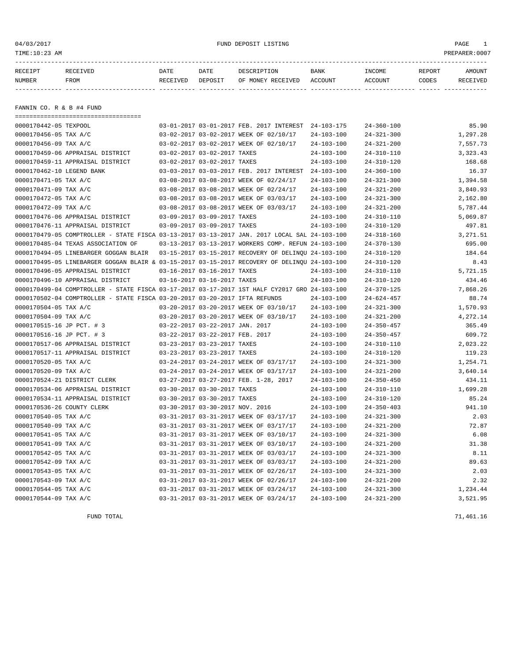## 04/03/2017 FUND DEPOSIT LISTING PAGE 1

| RECEIPT | RECEIVED | DATE     | DATE    | DESCRIPTION       | <b>BANK</b> | INCOME  | REPORT | AMOUNT          |
|---------|----------|----------|---------|-------------------|-------------|---------|--------|-----------------|
| NUMBER  | FROM     | RECEIVED | DEPOSIT | OF MONEY RECEIVED | ACCOUNT     | ACCOUNT | CODES  | <b>RECEIVED</b> |
|         |          |          |         |                   |             |         |        |                 |

FANNIN CO. R & B #4 FUND

===================================

| 0000170442-05 TEXPOOL      |                                                                                              |                                 | 03-01-2017 03-01-2017 FEB. 2017 INTEREST             | 24-103-175       | $24 - 360 - 100$ | 85.90     |
|----------------------------|----------------------------------------------------------------------------------------------|---------------------------------|------------------------------------------------------|------------------|------------------|-----------|
| 0000170456-05 TAX A/C      |                                                                                              |                                 | 03-02-2017 03-02-2017 WEEK OF 02/10/17               | $24 - 103 - 100$ | $24 - 321 - 300$ | 1,297.28  |
| 0000170456-09 TAX A/C      |                                                                                              |                                 | 03-02-2017 03-02-2017 WEEK OF 02/10/17               | $24 - 103 - 100$ | $24 - 321 - 200$ | 7,557.73  |
|                            | 0000170459-06 APPRAISAL DISTRICT                                                             | 03-02-2017 03-02-2017 TAXES     |                                                      | $24 - 103 - 100$ | $24 - 310 - 110$ | 3, 323.43 |
|                            | 0000170459-11 APPRAISAL DISTRICT                                                             | 03-02-2017 03-02-2017 TAXES     |                                                      | $24 - 103 - 100$ | $24 - 310 - 120$ | 168.68    |
| 0000170462-10 LEGEND BANK  |                                                                                              |                                 | 03-03-2017 03-03-2017 FEB. 2017 INTEREST             | $24 - 103 - 100$ | $24 - 360 - 100$ | 16.37     |
| 0000170471-05 TAX A/C      |                                                                                              |                                 | 03-08-2017 03-08-2017 WEEK OF 02/24/17               | $24 - 103 - 100$ | $24 - 321 - 300$ | 1,394.58  |
| 0000170471-09 TAX A/C      |                                                                                              |                                 | 03-08-2017 03-08-2017 WEEK OF 02/24/17               | $24 - 103 - 100$ | $24 - 321 - 200$ | 3,840.93  |
| 0000170472-05 TAX A/C      |                                                                                              |                                 | 03-08-2017 03-08-2017 WEEK OF 03/03/17               | $24 - 103 - 100$ | $24 - 321 - 300$ | 2,162.80  |
| 0000170472-09 TAX A/C      |                                                                                              |                                 | 03-08-2017 03-08-2017 WEEK OF 03/03/17               | $24 - 103 - 100$ | $24 - 321 - 200$ | 5,787.44  |
|                            | 0000170476-06 APPRAISAL DISTRICT                                                             | 03-09-2017 03-09-2017 TAXES     |                                                      | $24 - 103 - 100$ | $24 - 310 - 110$ | 5,069.87  |
|                            | 0000170476-11 APPRAISAL DISTRICT                                                             | 03-09-2017 03-09-2017 TAXES     |                                                      | $24 - 103 - 100$ | $24 - 310 - 120$ | 497.81    |
|                            | 0000170479-05 COMPTROLLER - STATE FISCA 03-13-2017 03-13-2017 JAN. 2017 LOCAL SAL 24-103-100 |                                 |                                                      |                  | $24 - 318 - 160$ | 3, 271.51 |
|                            | 0000170485-04 TEXAS ASSOCIATION OF                                                           |                                 | 03-13-2017 03-13-2017 WORKERS COMP. REFUN 24-103-100 |                  | $24 - 370 - 130$ | 695.00    |
|                            | 0000170494-05 LINEBARGER GOGGAN BLAIR                                                        |                                 | 03-15-2017 03-15-2017 RECOVERY OF DELINQU 24-103-100 |                  | $24 - 310 - 120$ | 184.64    |
|                            | 0000170495-05 LINEBARGER GOGGAN BLAIR & 03-15-2017 03-15-2017 RECOVERY OF DELINOU 24-103-100 |                                 |                                                      |                  | $24 - 310 - 120$ | 8.43      |
|                            | 0000170496-05 APPRAISAL DISTRICT                                                             | 03-16-2017 03-16-2017 TAXES     |                                                      | $24 - 103 - 100$ | $24 - 310 - 110$ | 5,721.15  |
|                            | 0000170496-10 APPRAISAL DISTRICT                                                             | 03-16-2017 03-16-2017 TAXES     |                                                      | $24 - 103 - 100$ | $24 - 310 - 120$ | 434.46    |
|                            | 0000170499-04 COMPTROLLER - STATE FISCA 03-17-2017 03-17-2017 1ST HALF CY2017 GRO 24-103-100 |                                 |                                                      |                  | $24 - 370 - 125$ | 7,868.26  |
|                            | 0000170502-04 COMPTROLLER - STATE FISCA 03-20-2017 03-20-2017 IFTA REFUNDS                   |                                 |                                                      | $24 - 103 - 100$ | $24 - 624 - 457$ | 88.74     |
| 0000170504-05 TAX A/C      |                                                                                              |                                 | 03-20-2017 03-20-2017 WEEK OF 03/10/17               | $24 - 103 - 100$ | $24 - 321 - 300$ | 1,570.93  |
| 0000170504-09 TAX A/C      |                                                                                              |                                 | 03-20-2017 03-20-2017 WEEK OF 03/10/17               | $24 - 103 - 100$ | $24 - 321 - 200$ | 4,272.14  |
| 0000170515-16 JP PCT. # 3  |                                                                                              | 03-22-2017 03-22-2017 JAN. 2017 |                                                      | $24 - 103 - 100$ | $24 - 350 - 457$ | 365.49    |
| 0000170516-16 JP PCT. # 3  |                                                                                              | 03-22-2017 03-22-2017 FEB. 2017 |                                                      | $24 - 103 - 100$ | $24 - 350 - 457$ | 609.72    |
|                            | 0000170517-06 APPRAISAL DISTRICT                                                             | 03-23-2017 03-23-2017 TAXES     |                                                      | $24 - 103 - 100$ | $24 - 310 - 110$ | 2,023.22  |
|                            | 0000170517-11 APPRAISAL DISTRICT                                                             | 03-23-2017 03-23-2017 TAXES     |                                                      | $24 - 103 - 100$ | $24 - 310 - 120$ | 119.23    |
| 0000170520-05 TAX A/C      |                                                                                              |                                 | 03-24-2017 03-24-2017 WEEK OF 03/17/17               | $24 - 103 - 100$ | $24 - 321 - 300$ | 1,254.71  |
| 0000170520-09 TAX A/C      |                                                                                              |                                 | 03-24-2017 03-24-2017 WEEK OF 03/17/17               | $24 - 103 - 100$ | $24 - 321 - 200$ | 3,640.14  |
|                            | 0000170524-21 DISTRICT CLERK                                                                 |                                 | 03-27-2017 03-27-2017 FEB. 1-28, 2017                | $24 - 103 - 100$ | $24 - 350 - 450$ | 434.11    |
|                            | 0000170534-06 APPRAISAL DISTRICT                                                             | 03-30-2017 03-30-2017 TAXES     |                                                      | $24 - 103 - 100$ | $24 - 310 - 110$ | 1,699.28  |
|                            | 0000170534-11 APPRAISAL DISTRICT                                                             | 03-30-2017 03-30-2017 TAXES     |                                                      | $24 - 103 - 100$ | $24 - 310 - 120$ | 85.24     |
| 0000170536-26 COUNTY CLERK |                                                                                              | 03-30-2017 03-30-2017 NOV. 2016 |                                                      | $24 - 103 - 100$ | $24 - 350 - 403$ | 941.10    |
| 0000170540-05 TAX A/C      |                                                                                              |                                 | 03-31-2017 03-31-2017 WEEK OF 03/17/17               | $24 - 103 - 100$ | $24 - 321 - 300$ | 2.03      |
| 0000170540-09 TAX A/C      |                                                                                              |                                 | 03-31-2017 03-31-2017 WEEK OF 03/17/17               | $24 - 103 - 100$ | $24 - 321 - 200$ | 72.87     |
| 0000170541-05 TAX A/C      |                                                                                              |                                 | 03-31-2017 03-31-2017 WEEK OF 03/10/17               | $24 - 103 - 100$ | $24 - 321 - 300$ | 6.08      |
| 0000170541-09 TAX A/C      |                                                                                              |                                 | 03-31-2017 03-31-2017 WEEK OF 03/10/17               | $24 - 103 - 100$ | $24 - 321 - 200$ | 31.38     |
| 0000170542-05 TAX A/C      |                                                                                              |                                 | 03-31-2017 03-31-2017 WEEK OF 03/03/17               | $24 - 103 - 100$ | $24 - 321 - 300$ | 8.11      |
| 0000170542-09 TAX A/C      |                                                                                              |                                 | 03-31-2017 03-31-2017 WEEK OF 03/03/17               | $24 - 103 - 100$ | $24 - 321 - 200$ | 89.63     |
| 0000170543-05 TAX A/C      |                                                                                              |                                 | 03-31-2017 03-31-2017 WEEK OF 02/26/17               | $24 - 103 - 100$ | $24 - 321 - 300$ | 2.03      |
| 0000170543-09 TAX A/C      |                                                                                              |                                 | 03-31-2017 03-31-2017 WEEK OF 02/26/17               | $24 - 103 - 100$ | $24 - 321 - 200$ | 2.32      |
| 0000170544-05 TAX A/C      |                                                                                              |                                 | 03-31-2017 03-31-2017 WEEK OF 03/24/17               | $24 - 103 - 100$ | $24 - 321 - 300$ | 1,234.44  |
| 0000170544-09 TAX A/C      |                                                                                              |                                 | 03-31-2017 03-31-2017 WEEK OF 03/24/17               | $24 - 103 - 100$ | $24 - 321 - 200$ | 3,521.95  |
|                            |                                                                                              |                                 |                                                      |                  |                  |           |

FUND TOTAL 71,461.16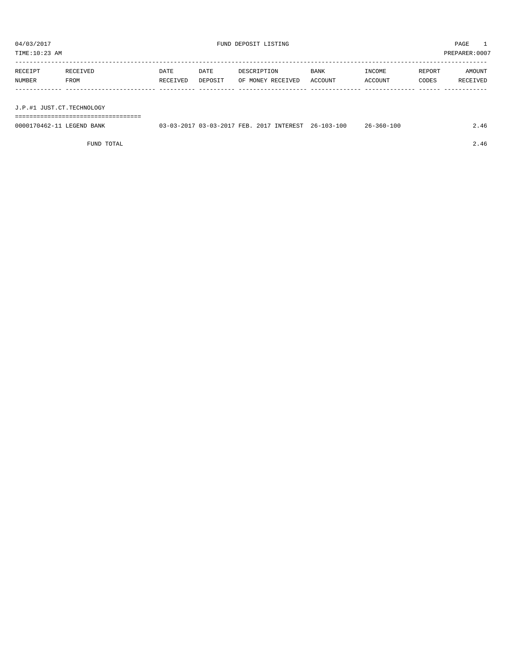TIME:10:23 AM PREPARER:0007

| RECEIPT | RECEIVED | DATE     | DATE    | DESCRIPTION       | <b>BANK</b> | INCOME  | REPORT | AMOUNT   |
|---------|----------|----------|---------|-------------------|-------------|---------|--------|----------|
| NUMBER  | FROM     | RECEIVED | DEPOSIT | OF MONEY RECEIVED | ACCOUNT     | ACCOUNT | CODES  | RECEIVED |
|         |          |          |         |                   |             |         |        |          |
|         |          |          |         |                   |             |         |        |          |

J.P.#1 JUST.CT.TECHNOLOGY

===================================

| 0000170462-11 LEGEND BANK | 03-03-2017 03-03-2017 FEB. 2017 INTEREST 26-103-100 |  | $26 - 360 - 100$ |  |
|---------------------------|-----------------------------------------------------|--|------------------|--|
|                           |                                                     |  |                  |  |

FUND TOTAL 2.46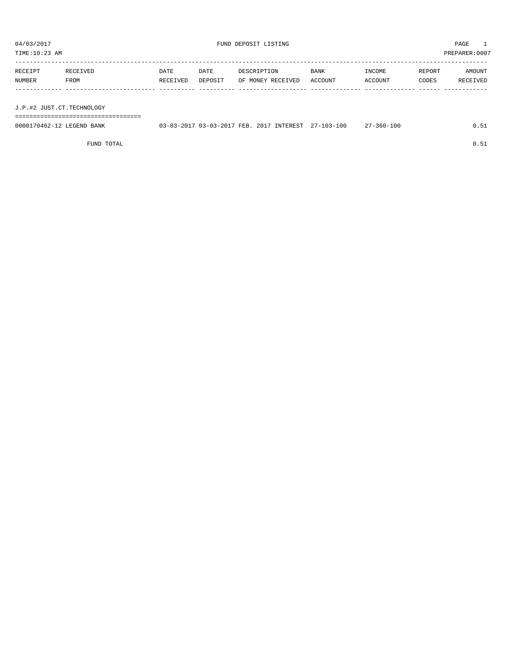TIME:10:23 AM PREPARER:0007

| RECEIPT | RECEIVED    | DATE     | DATE    | DESCRIPTION       | <b>BANK</b> | INCOME  | REPORT | AMOUNT   |
|---------|-------------|----------|---------|-------------------|-------------|---------|--------|----------|
| NUMBER  | <b>FROM</b> | RECEIVED | DEPOSIT | OF MONEY RECEIVED | ACCOUNT     | ACCOUNT | CODES  | RECEIVED |
|         |             |          |         |                   |             |         |        |          |
|         |             |          |         |                   |             |         |        |          |

J.P.#2 JUST.CT.TECHNOLOGY

===================================

| 0000170462-12 LEGEND BANK | 03-03-2017 03-03-2017 FEB. 2017 INTEREST 27-103-100 |  | 27-360-100 | 0.51 |
|---------------------------|-----------------------------------------------------|--|------------|------|
|                           |                                                     |  |            |      |

FUND TOTAL  $0.51$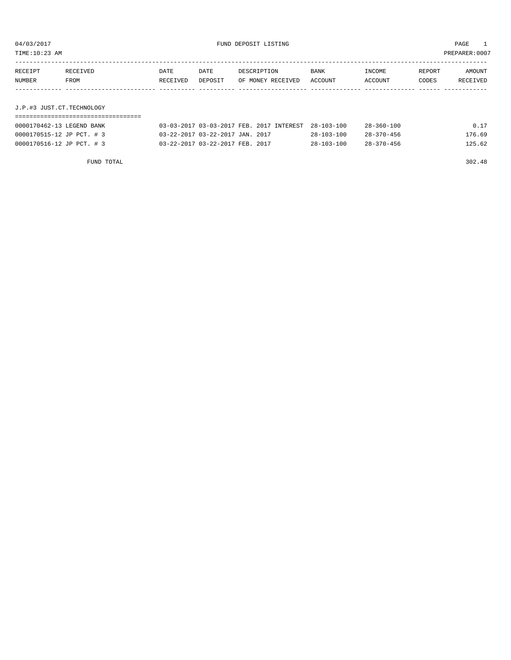| TIME:10:23 AM             |          |          |         |                                          |                  |                  |        | PREPARER:0007 |
|---------------------------|----------|----------|---------|------------------------------------------|------------------|------------------|--------|---------------|
|                           |          |          |         |                                          |                  |                  |        |               |
| RECEIPT                   | RECEIVED | DATE     | DATE    | DESCRIPTION                              | BANK             | INCOME           | REPORT | AMOUNT        |
| NUMBER                    | FROM     | RECEIVED | DEPOSIT | OF MONEY RECEIVED                        | ACCOUNT          | ACCOUNT          | CODES  | RECEIVED      |
|                           |          |          |         |                                          |                  |                  |        |               |
|                           |          |          |         |                                          |                  |                  |        |               |
| J.P.#3 JUST.CT.TECHNOLOGY |          |          |         |                                          |                  |                  |        |               |
|                           |          |          |         |                                          |                  |                  |        |               |
| 0000170462-13 LEGEND BANK |          |          |         | 03-03-2017 03-03-2017 FEB. 2017 INTEREST | $28 - 103 - 100$ | $28 - 360 - 100$ |        | 0.17          |

0000170515-12 JP PCT. # 3 03-22-2017 03-22-2017 JAN. 2017 28-103-100 28-370-456 176.69 0000170516-12 JP PCT. # 3 03-22-2017 03-22-2017 FEB. 2017 28-103-100 28-370-456 125.62

FUND TOTAL 302.48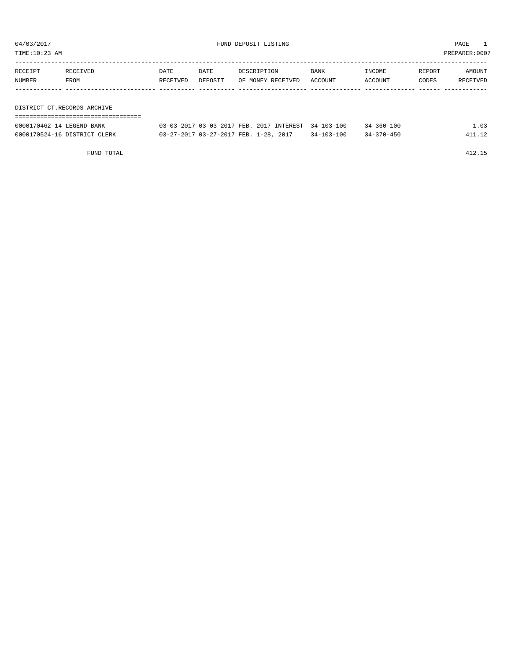TIME:10:23 AM PREPARER:0007

| RECEIPT                     | RECEIVED | DATE     | DATE    | DESCRIPTION       | BANK    | INCOME  | REPORT | AMOUNT   |  |
|-----------------------------|----------|----------|---------|-------------------|---------|---------|--------|----------|--|
| NUMBER                      | FROM     | RECEIVED | DEPOSIT | OF MONEY RECEIVED | ACCOUNT | ACCOUNT | CODES  | RECEIVED |  |
|                             |          |          |         |                   |         |         |        |          |  |
|                             |          |          |         |                   |         |         |        |          |  |
| DISTRICT CT.RECORDS ARCHIVE |          |          |         |                   |         |         |        |          |  |

| --------------------------------------<br>---------------------------------<br>____ |        |   |        |   |                  |  |
|-------------------------------------------------------------------------------------|--------|---|--------|---|------------------|--|
| $\sim$<br><b>NTL</b><br>'NH<br><u>vv.</u><br>.<br>.                                 | ∼<br>. | . | $\sim$ | ╌ | .<br>.<br>.<br>. |  |

| 0000170462-14 LEGEND BANK    | 03-03-2017 03-03-2017 FEB. 2017 INTEREST 34-103-100 |                  | $34 - 360 - 100$ |  |
|------------------------------|-----------------------------------------------------|------------------|------------------|--|
| 0000170524-16 DISTRICT CLERK | 03-27-2017 03-27-2017 FEB. 1-28, 2017               | $34 - 103 - 100$ | $34 - 370 - 450$ |  |

FUND TOTAL 412.15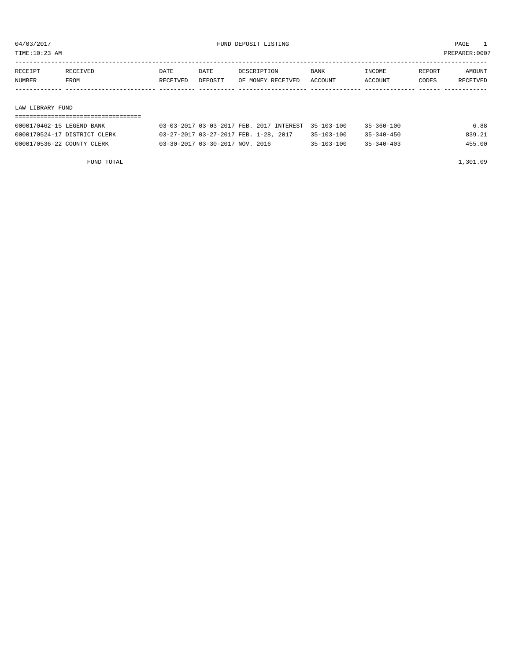TIME:10:23 AM PREPARER:0007

| RECEIPT          | RECEIVED | DATE     | DATE    | DESCRIPTION       | BANK    | INCOME  | REPORT | AMOUNT   |  |
|------------------|----------|----------|---------|-------------------|---------|---------|--------|----------|--|
| NUMBER           | FROM     | RECEIVED | DEPOSIT | OF MONEY RECEIVED | ACCOUNT | ACCOUNT | CODES  | RECEIVED |  |
|                  |          |          |         |                   |         |         |        |          |  |
|                  |          |          |         |                   |         |         |        |          |  |
| LAW LIBRARY FUND |          |          |         |                   |         |         |        |          |  |
|                  |          |          |         |                   |         |         |        |          |  |

| 0000170462-15 LEGEND BANK    | 03-03-2017 03-03-2017 FEB. 2017 INTEREST 35-103-100 |                  | $35 - 360 - 100$ | 6.88   |
|------------------------------|-----------------------------------------------------|------------------|------------------|--------|
| 0000170524-17 DISTRICT CLERK | 03-27-2017 03-27-2017 FEB. 1-28, 2017               | 35-103-100       | $35 - 340 - 450$ | 839.21 |
| 0000170536-22 COUNTY CLERK   | 03-30-2017 03-30-2017 NOV. 2016                     | $35 - 103 - 100$ | $35 - 340 - 403$ | 455.00 |

FUND TOTAL  $1,301.09$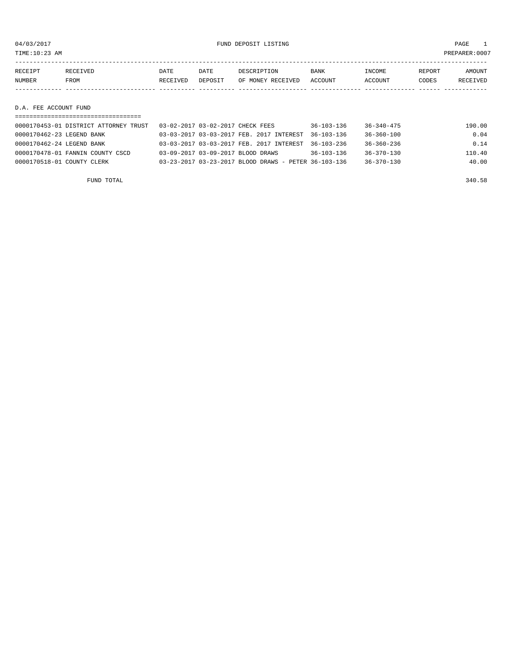04/03/2017 FUND DEPOSIT LISTING PAGE 1

| RECEIPT | RECEIVED | <b>DATE</b> | DATE    | DESCRIPTION       | <b>BANK</b> | INCOME  | REPORT | <b>AMOUNT</b> |
|---------|----------|-------------|---------|-------------------|-------------|---------|--------|---------------|
| NUMBER  | FROM     | RECEIVED    | DEPOSIT | OF MONEY RECEIVED | ACCOUNT     | ACCOUNT | CODES  | RECEIVED      |
|         |          |             |         |                   |             |         |        |               |
|         |          |             |         |                   |             |         |        |               |

D.A. FEE ACCOUNT FUND

| 0000170453-01 DISTRICT ATTORNEY TRUST | 03-02-2017 03-02-2017 CHECK FEES                     | 36-103-136       | 36-340-475       | 190.00 |
|---------------------------------------|------------------------------------------------------|------------------|------------------|--------|
| 0000170462-23 LEGEND BANK             | 03-03-2017 03-03-2017 FEB. 2017 INTEREST             | 36-103-136       | $36 - 360 - 100$ | 0.04   |
| 0000170462-24 LEGEND BANK             | 03-03-2017 03-03-2017 FEB. 2017 INTEREST             | $36 - 103 - 236$ | $36 - 360 - 236$ | 0.14   |
| 0000170478-01 FANNIN COUNTY CSCD      | 03-09-2017 03-09-2017 BLOOD DRAWS                    | $36 - 103 - 136$ | $36 - 370 - 130$ | 110.40 |
| 0000170518-01 COUNTY CLERK            | 03-23-2017 03-23-2017 BLOOD DRAWS - PETER 36-103-136 |                  | $36 - 370 - 130$ | 40.00  |
|                                       |                                                      |                  |                  |        |

FUND TOTAL 340.58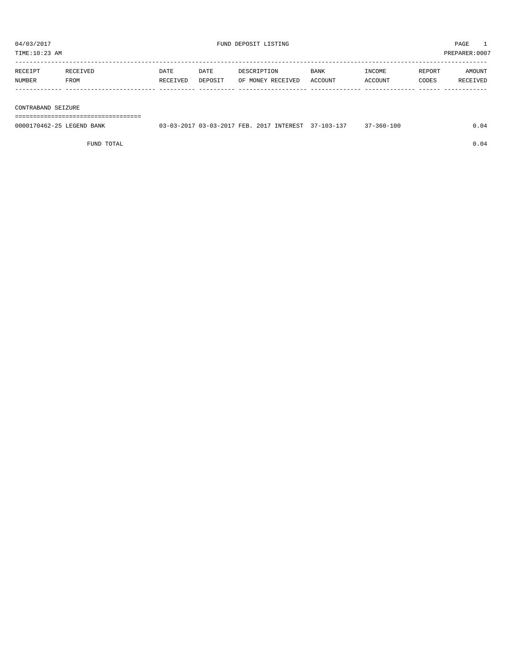TIME:10:23 AM PREPARER:0007

| RECEIPT | RECEIVED | DATE     | DATE    | DESCRIPTION       | <b>BANK</b> | <b>TNCOME</b> | <b>REPORT</b> | AMOUNT          |
|---------|----------|----------|---------|-------------------|-------------|---------------|---------------|-----------------|
| NUMBER  | FROM     | RECEIVED | DEPOSIT | OF MONEY RECEIVED | ACCOUNT     | ACCOUNT       | CODES         | <b>RECEIVED</b> |
|         |          |          |         |                   |             |               |               |                 |

#### CONTRABAND SEIZURE

===================================

| 0000170462-25 LEGEND BANK | 03-03-2017 03-03-2017 FEB. 2017 INTEREST 37-103-137 |  | 37-360-100 | 0.04 |
|---------------------------|-----------------------------------------------------|--|------------|------|
|                           |                                                     |  |            |      |

FUND TOTAL  $0.04$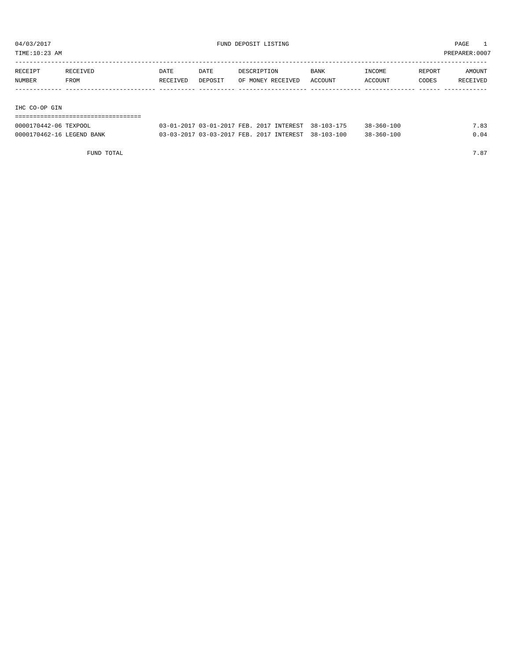TIME:10:23 AM PREPARER:0007

| RECEIPT       | RECEIVED | DATE     | DATE    | DESCRIPTION       | <b>BANK</b> | INCOME         | REPORT | AMOUNT   |
|---------------|----------|----------|---------|-------------------|-------------|----------------|--------|----------|
| NUMBER        | FROM     | RECEIVED | DEPOSIT | OF MONEY RECEIVED | ACCOUNT     | <b>ACCOUNT</b> | CODES  | RECEIVED |
|               |          |          |         |                   |             |                |        |          |
|               |          |          |         |                   |             |                |        |          |
| THA GO-OP GIN |          |          |         |                   |             |                |        |          |

IHC CO-OP GIN

## ===================================

| 0000170442-06 TEXPOOL     | 03-01-2017 03-01-2017 FEB. 2017 INTEREST 38-103-175 |  | $38 - 360 - 100$ | 7.83 |
|---------------------------|-----------------------------------------------------|--|------------------|------|
| 0000170462-16 LEGEND BANK | 03-03-2017 03-03-2017 FEB. 2017 INTEREST 38-103-100 |  | $38 - 360 - 100$ |      |

FUND TOTAL  $7.87$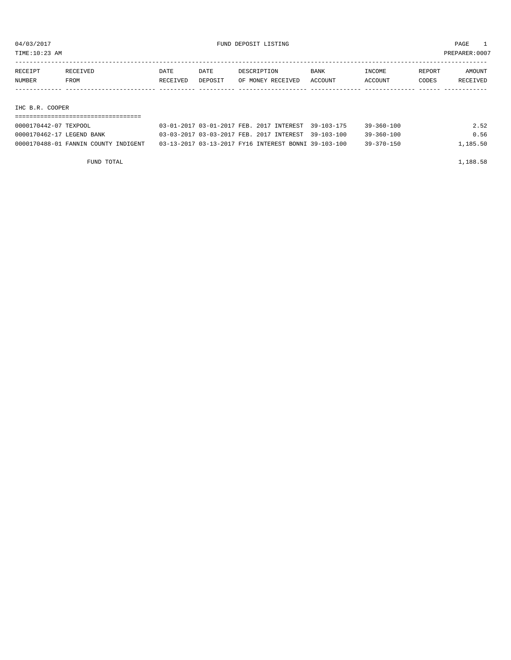TIME:10:23 AM PREPARER:0007

| RECEIPT               | RECEIVED | DATE     | DATE    | DESCRIPTION                              | BANK       | INCOME           | REPORT | AMOUNT   |
|-----------------------|----------|----------|---------|------------------------------------------|------------|------------------|--------|----------|
| NUMBER                | FROM     | RECEIVED | DEPOSIT | OF MONEY RECEIVED                        | ACCOUNT    | ACCOUNT          | CODES  | RECEIVED |
|                       |          |          |         |                                          |            |                  |        |          |
| IHC B.R. COOPER       |          |          |         |                                          |            |                  |        |          |
|                       |          |          |         |                                          |            |                  |        |          |
| 0000170442-07 TEXPOOL |          |          |         | 03-01-2017 03-01-2017 FEB. 2017 INTEREST | 39-103-175 | $39 - 360 - 100$ |        | 2.52     |

0000170462-17 LEGEND BANK 03-03-2017 03-03-2017 FEB. 2017 INTEREST 39-103-100 39-360-100 0.56 0000170488-01 FANNIN COUNTY INDIGENT 03-13-2017 03-13-2017 FY16 INTEREST BONNI 39-103-100 39-370-150 1,185.50

FUND TOTAL 1,188.58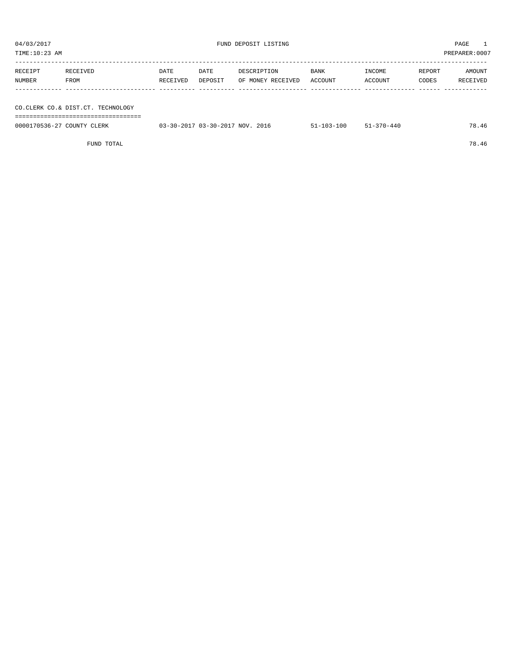TIME:10:23 AM PREPARER:0007 ----------------------------------------------------------------------------------------------------------------------------------- RECEIPT RECEIVED DATE DATE DESCRIPTION BANK INCOME REPORT AMOUNT NUMBER FROM RECEIVED DEPOSIT OF MONEY RECEIVED ACCOUNT ACCOUNT CODES RECEIVED ------------- ------------------------- ---------- ---------- ------------------- -------------- -------------- ------ ------------ CO.CLERK CO.& DIST.CT. TECHNOLOGY ===================================

| CO.CLERK CO.& DIST.CT. TECHNOLOGY |                                 |                  |                  |       |
|-----------------------------------|---------------------------------|------------------|------------------|-------|
|                                   |                                 |                  |                  |       |
| 0000170536-27 COUNTY CLERK        | 03-30-2017 03-30-2017 NOV. 2016 | $51 - 103 - 100$ | $51 - 370 - 440$ | 78.46 |
|                                   |                                 |                  |                  |       |
| FUND TOTAL                        |                                 |                  |                  | 78.46 |
|                                   |                                 |                  |                  |       |
|                                   |                                 |                  |                  |       |
|                                   |                                 |                  |                  |       |
|                                   |                                 |                  |                  |       |
|                                   |                                 |                  |                  |       |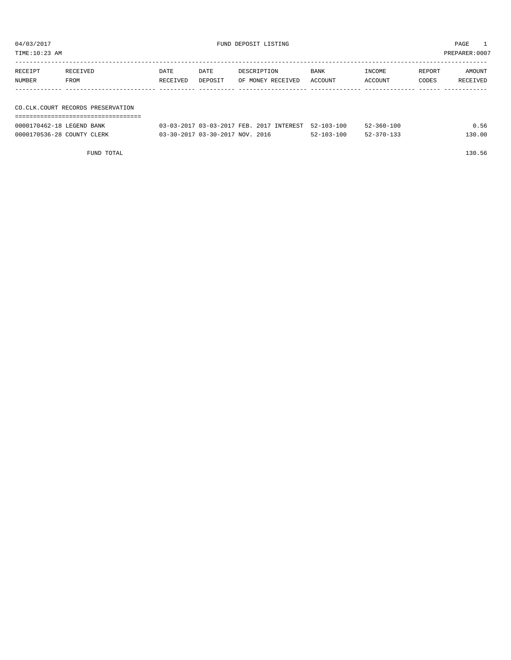| 04/03/2017<br>TIME:10:23 AM |                                     |                  |                 | FUND DEPOSIT LISTING                                |                 |                   |                 | PAGE<br>PREPARER: 0007 |
|-----------------------------|-------------------------------------|------------------|-----------------|-----------------------------------------------------|-----------------|-------------------|-----------------|------------------------|
| RECEIPT<br><b>NUMBER</b>    | RECEIVED<br>FROM                    | DATE<br>RECEIVED | DATE<br>DEPOSIT | DESCRIPTION<br>OF MONEY RECEIVED                    | BANK<br>ACCOUNT | INCOME<br>ACCOUNT | REPORT<br>CODES | AMOUNT<br>RECEIVED     |
|                             | CO. CLK. COURT RECORDS PRESERVATION |                  |                 |                                                     |                 |                   |                 |                        |
| 0000170462-18 LEGEND BANK   |                                     |                  |                 | 03-03-2017 03-03-2017 FEB. 2017 INTEREST 52-103-100 |                 | $52 - 360 - 100$  |                 | 0.56                   |

0000170536-28 COUNTY CLERK 03-30-2017 03-30-2017 NOV. 2016 52-103-100 52-370-133 130.00

FUND TOTAL 130.56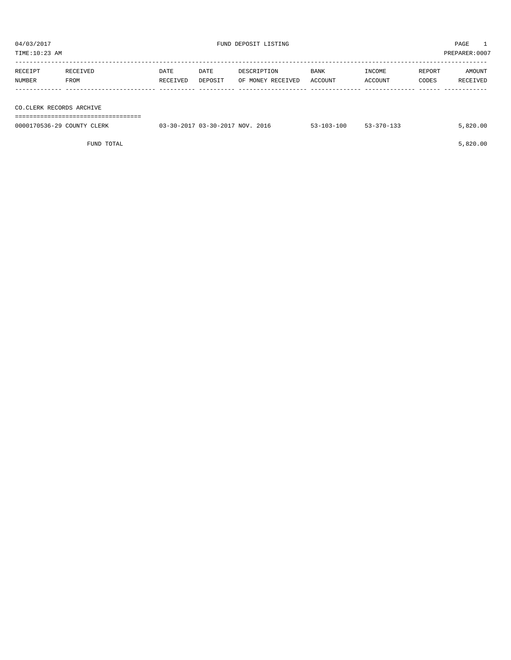04/03/2017<br>
FUND DEPOSIT LISTING<br>
FUND DEPOSIT LISTING

| TIME:10:23 AM              |          |          |                                 |                   |                  |                  |        | PREPARER:0007 |
|----------------------------|----------|----------|---------------------------------|-------------------|------------------|------------------|--------|---------------|
|                            |          |          |                                 |                   |                  |                  |        |               |
| RECEIPT                    | RECEIVED | DATE     | DATE                            | DESCRIPTION       | BANK             | INCOME           | REPORT | AMOUNT        |
| NUMBER                     | FROM     | RECEIVED | DEPOSIT                         | OF MONEY RECEIVED | ACCOUNT          | ACCOUNT          | CODES  | RECEIVED      |
|                            |          |          |                                 |                   |                  |                  |        |               |
|                            |          |          |                                 |                   |                  |                  |        |               |
| CO.CLERK RECORDS ARCHIVE   |          |          |                                 |                   |                  |                  |        |               |
|                            |          |          |                                 |                   |                  |                  |        |               |
| 0000170536-29 COUNTY CLERK |          |          | 03-30-2017 03-30-2017 NOV. 2016 |                   | $53 - 103 - 100$ | $53 - 370 - 133$ |        | 5,820.00      |
|                            |          |          |                                 |                   |                  |                  |        |               |

FUND TOTAL 5,820.00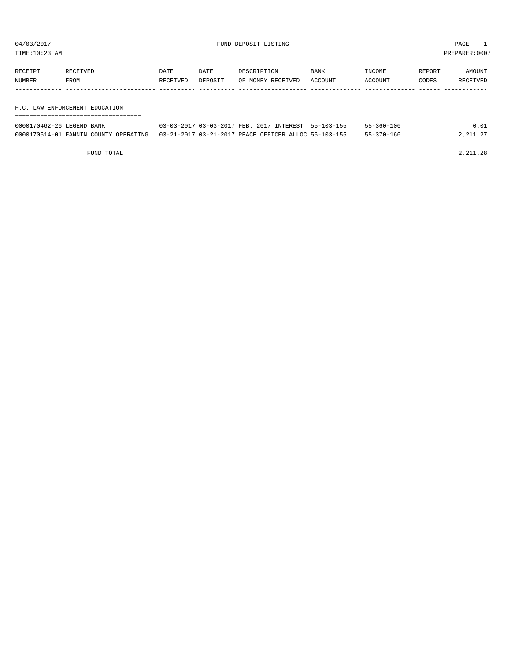TIME:10:23 AM PREPARER:0007

| RECEIPT       | RECEIVED    | DATE     | DATE    | DESCRIPTION       | <b>BANK</b> | INCOME  | REPORT | AMOUNT   |
|---------------|-------------|----------|---------|-------------------|-------------|---------|--------|----------|
| <b>NUMBER</b> | <b>FROM</b> | RECEIVED | DEPOSIT | OF MONEY RECEIVED | ACCOUNT     | ACCOUNT | CODES  | RECEIVED |
|               |             |          |         |                   |             |         |        |          |
|               |             |          |         |                   |             |         |        |          |

F.C. LAW ENFORCEMENT EDUCATION

| ------------------------  |                                                                                            |                  |          |
|---------------------------|--------------------------------------------------------------------------------------------|------------------|----------|
| 0000170462-26 LEGEND BANK | 03-03-2017 03-03-2017 FEB. 2017 INTEREST 55-103-155                                        | $55 - 360 - 100$ | 0.01     |
|                           | 0000170514-01 FANNIN COUNTY OPERATING 03-21-2017 03-21-2017 PEACE OFFICER ALLOC 55-103-155 | 55-370-160       | 2,211.27 |

FUND TOTAL 2,211.28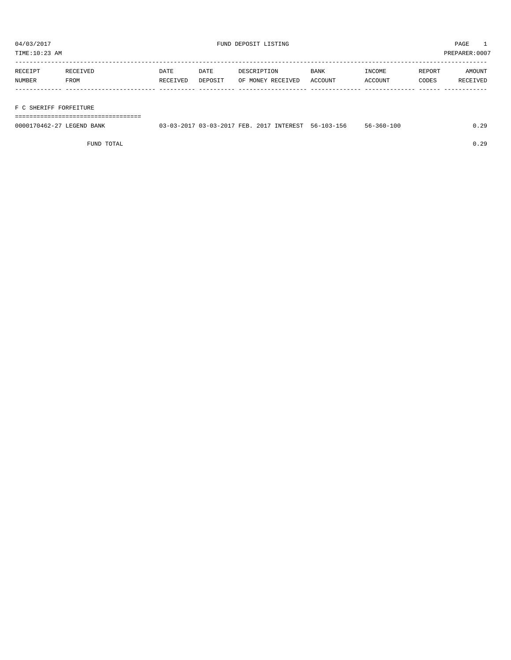TIME:10:23 AM PREPARER:0007

| RECEIPT | RECEIVED    | DATE     | DATE    | DESCRIPTION       | <b>BANK</b> | INCOME  | REPORT | AMOUNT   |
|---------|-------------|----------|---------|-------------------|-------------|---------|--------|----------|
| NUMBER  | <b>FROM</b> | RECEIVED | DEPOSIT | OF MONEY RECEIVED | ACCOUNT     | ACCOUNT | CODES  | RECEIVED |
|         |             |          |         |                   |             |         |        |          |
|         |             |          |         |                   |             |         |        |          |

### F C SHERIFF FORFEITURE

===================================

| 0000170462-27 LEGEND BANK | 03-03-2017 03-03-2017 FEB. 2017 INTEREST 56-103-156 |  | 56-360-100 | 0.29 |
|---------------------------|-----------------------------------------------------|--|------------|------|
|                           |                                                     |  |            |      |

FUND TOTAL 0.29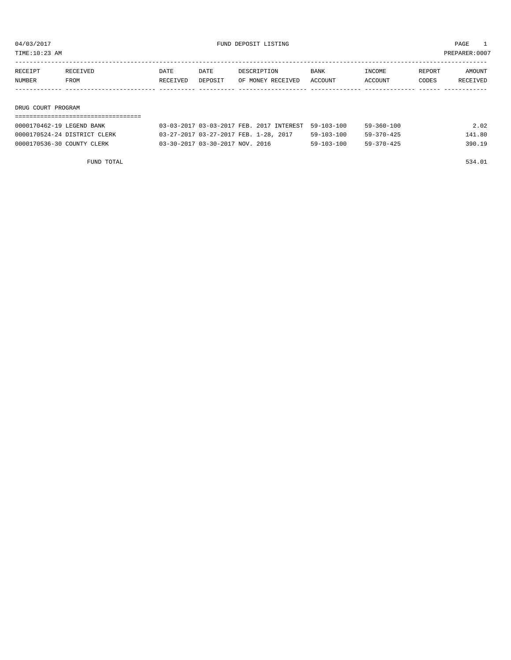TIME:10:23 AM PREPARER:0007

| RECEIPT | RECEIVED           | DATE     | DATE    | DESCRIPTION       | BANK    | INCOME  | REPORT | AMOUNT   |  |  |
|---------|--------------------|----------|---------|-------------------|---------|---------|--------|----------|--|--|
| NUMBER  | FROM               | RECEIVED | DEPOSIT | OF MONEY RECEIVED | ACCOUNT | ACCOUNT | CODES  | RECEIVED |  |  |
|         |                    |          |         |                   |         |         |        |          |  |  |
|         |                    |          |         |                   |         |         |        |          |  |  |
|         | DRUG COURT PROGRAM |          |         |                   |         |         |        |          |  |  |
|         |                    |          |         |                   |         |         |        |          |  |  |

| 0000170462-19 LEGEND BANK    | 03-03-2017 03-03-2017 FEB. 2017 INTEREST 59-103-100 |                  | $59 - 360 - 100$ | 2.02   |
|------------------------------|-----------------------------------------------------|------------------|------------------|--------|
| 0000170524-24 DISTRICT CLERK | 03-27-2017 03-27-2017 FEB. 1-28, 2017               | 59-103-100       | $59 - 370 - 425$ | 141.80 |
| 0000170536-30 COUNTY CLERK   | 03-30-2017 03-30-2017 NOV. 2016                     | $59 - 103 - 100$ | $59 - 370 - 425$ | 390.19 |

FUND TOTAL 534.01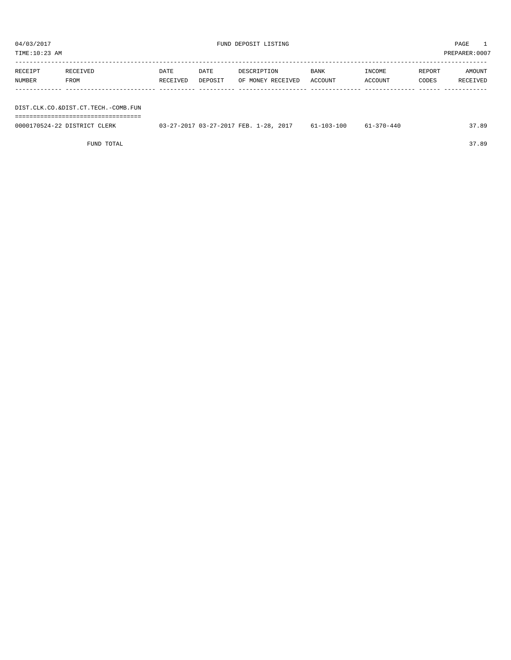| TIME:10:23 AM     |                                     |                  |                 |                                  |                 |                   |                 | PREPARER: 0007     |
|-------------------|-------------------------------------|------------------|-----------------|----------------------------------|-----------------|-------------------|-----------------|--------------------|
| RECEIPT<br>NUMBER | RECEIVED<br>FROM                    | DATE<br>RECEIVED | DATE<br>DEPOSIT | DESCRIPTION<br>OF MONEY RECEIVED | BANK<br>ACCOUNT | INCOME<br>ACCOUNT | REPORT<br>CODES | AMOUNT<br>RECEIVED |
|                   |                                     |                  |                 |                                  |                 |                   |                 |                    |
|                   | DIST.CLK.CO.&DIST.CT.TECH.-COMB.FUN |                  |                 |                                  |                 |                   |                 |                    |

===================================

| 0000170524-22 DISTRICT CLERK | 03-27-2017 03-27-2017 FEB. 1-28, 2017 | 61-103-100 | 61-370-440 | 37.89 |
|------------------------------|---------------------------------------|------------|------------|-------|
|                              |                                       |            |            |       |

FUND TOTAL 37.89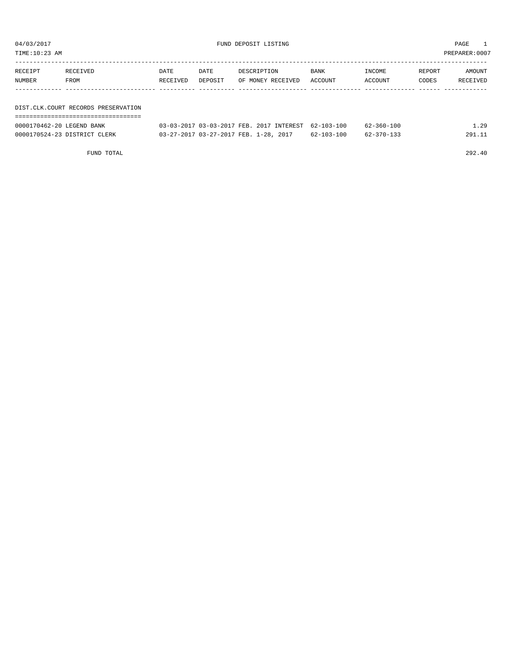| TIME:10:23 AM |                                     |          |         |                                                                                                                                                                                                                                                                                                                                                                                      |         |                                    |        | PREPARER:0007 |
|---------------|-------------------------------------|----------|---------|--------------------------------------------------------------------------------------------------------------------------------------------------------------------------------------------------------------------------------------------------------------------------------------------------------------------------------------------------------------------------------------|---------|------------------------------------|--------|---------------|
| RECEIPT       | RECEIVED                            | DATE     | DATE    | DESCRIPTION                                                                                                                                                                                                                                                                                                                                                                          | BANK    | INCOME                             | REPORT | AMOUNT        |
| NUMBER        | FROM                                | RECEIVED | DEPOSIT | OF MONEY RECEIVED                                                                                                                                                                                                                                                                                                                                                                    | ACCOUNT | ACCOUNT                            | CODES  | RECEIVED      |
|               |                                     |          |         |                                                                                                                                                                                                                                                                                                                                                                                      |         |                                    |        |               |
|               |                                     |          |         |                                                                                                                                                                                                                                                                                                                                                                                      |         |                                    |        |               |
|               | DIST.CLK.COURT RECORDS PRESERVATION |          |         |                                                                                                                                                                                                                                                                                                                                                                                      |         |                                    |        |               |
|               |                                     |          |         | $\overline{0}$ $\overline{0}$ $\overline{0}$ $\overline{0}$ $\overline{0}$ $\overline{0}$ $\overline{0}$ $\overline{0}$ $\overline{0}$ $\overline{0}$ $\overline{0}$ $\overline{0}$ $\overline{0}$ $\overline{0}$ $\overline{0}$ $\overline{0}$ $\overline{0}$ $\overline{0}$ $\overline{0}$ $\overline{0}$ $\overline{0}$ $\overline{0}$ $\overline{0}$ $\overline{0}$ $\overline{$ |         | $\sim$ $\sim$ $\sim$ $\sim$ $\sim$ |        | $\sim$ $\sim$ |

| 0000170462-20 LEGEND BANK    | 03-03-2017 03-03-2017 FEB. 2017 INTEREST 62-103-100 |            | 62-360-100 | ⊥.29   |
|------------------------------|-----------------------------------------------------|------------|------------|--------|
| 0000170524-23 DISTRICT CLERK | 03-27-2017 03-27-2017 FEB. 1-28, 2017               | 62-103-100 | 62-370-133 | 291.11 |

FUND TOTAL 292.40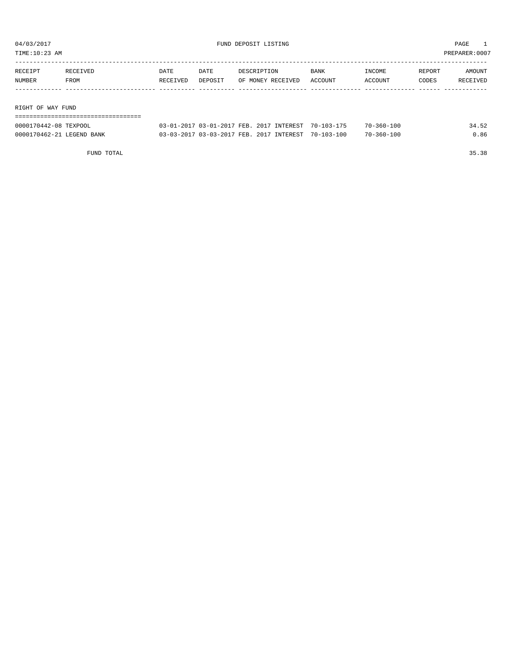TIME:10:23 AM PREPARER:0007

| RECEIPT           | RECEIVED | DATE     | DATE    | DESCRIPTION       | <b>BANK</b> | INCOME  | REPORT | AMOUNT   |
|-------------------|----------|----------|---------|-------------------|-------------|---------|--------|----------|
| NUMBER            | FROM     | RECEIVED | DEPOSIT | OF MONEY RECEIVED | ACCOUNT     | ACCOUNT | CODES  | RECEIVED |
|                   |          |          |         |                   |             |         |        |          |
|                   |          |          |         |                   |             |         |        |          |
| RIGHT OF WAY FUND |          |          |         |                   |             |         |        |          |

===================================

| 0000170442-08 TEXPOOL     | 03-01-2017 03-01-2017 FEB. 2017 INTEREST 70-103-175 |  | $70 - 360 - 100$ | 34.52 |
|---------------------------|-----------------------------------------------------|--|------------------|-------|
| 0000170462-21 LEGEND BANK | 03-03-2017 03-03-2017 FEB. 2017 INTEREST 70-103-100 |  | $70 - 360 - 100$ | 0.86  |

FUND TOTAL 35.38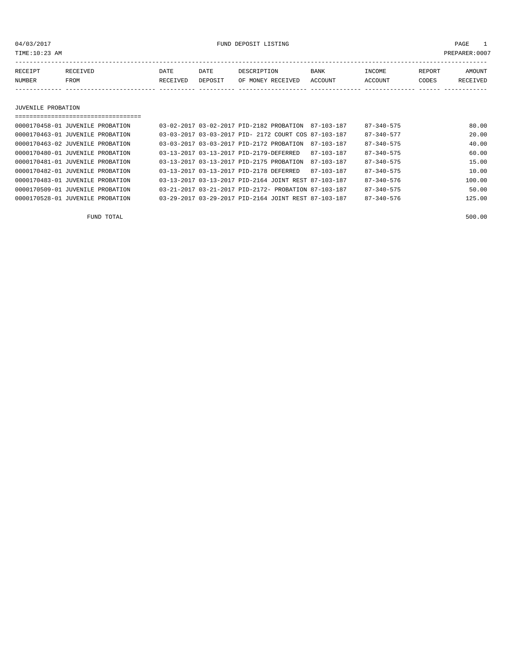04/03/2017 FUND DEPOSIT LISTING PAGE 1

| RECEIPT | <b>RECEIVED</b> | DATE            | DATE    | DESCRIPTION       | <b>BANK</b> | <b>INCOME</b> | REPORT | AMOUNT          |
|---------|-----------------|-----------------|---------|-------------------|-------------|---------------|--------|-----------------|
| NUMBER  | FROM            | <b>RECEIVED</b> | DEPOSIT | OF MONEY RECEIVED | ACCOUNT     | ACCOUNT       | CODES  | <b>RECEIVED</b> |
|         |                 |                 |         |                   |             |               |        |                 |

JUVENILE PROBATION

| 0000170458-01 JUVENILE PROBATION |  | 03-02-2017 03-02-2017 PID-2182 PROBATION             |  | 87-103-187       | $87 - 340 - 575$ | 80.00  |
|----------------------------------|--|------------------------------------------------------|--|------------------|------------------|--------|
| 0000170463-01 JUVENILE PROBATION |  | 03-03-2017 03-03-2017 PID- 2172 COURT COS 87-103-187 |  |                  | $87 - 340 - 577$ | 20.00  |
| 0000170463-02 JUVENILE PROBATION |  | 03-03-2017 03-03-2017 PID-2172 PROBATION             |  | 87-103-187       | $87 - 340 - 575$ | 40.00  |
| 0000170480-01 JUVENILE PROBATION |  | 03-13-2017 03-13-2017 PID-2179-DEFERRED              |  | $87 - 103 - 187$ | $87 - 340 - 575$ | 60.00  |
| 0000170481-01 JUVENILE PROBATION |  | 03-13-2017 03-13-2017 PID-2175 PROBATION             |  | $87 - 103 - 187$ | $87 - 340 - 575$ | 15.00  |
| 0000170482-01 JUVENILE PROBATION |  | 03-13-2017 03-13-2017 PID-2178 DEFERRED              |  | 87-103-187       | $87 - 340 - 575$ | 10.00  |
| 0000170483-01 JUVENILE PROBATION |  | 03-13-2017 03-13-2017 PID-2164 JOINT REST 87-103-187 |  |                  | $87 - 340 - 576$ | 100.00 |
| 0000170509-01 JUVENILE PROBATION |  | 03-21-2017 03-21-2017 PID-2172- PROBATION 87-103-187 |  |                  | $87 - 340 - 575$ | 50.00  |
| 0000170528-01 JUVENILE PROBATION |  | 03-29-2017 03-29-2017 PID-2164 JOINT REST 87-103-187 |  |                  | $87 - 340 - 576$ | 125.00 |

FUND TOTAL 500.00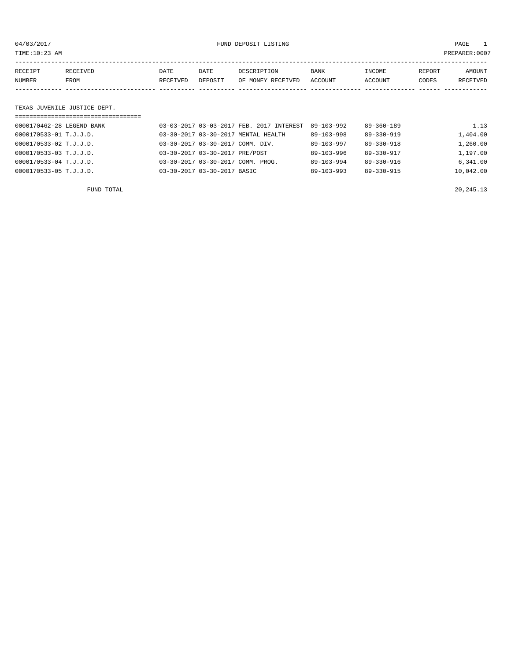04/03/2017 FUND DEPOSIT LISTING PAGE 1

| RECEIPT | RECEIVED | DATE     | DATE    | DESCRIPTION       | <b>BANK</b> | INCOME  | REPORT | AMOUNT   |
|---------|----------|----------|---------|-------------------|-------------|---------|--------|----------|
| NUMBER  | FROM     | RECEIVED | DEPOSIT | OF MONEY RECEIVED | ACCOUNT     | ACCOUNT | CODES  | RECEIVED |
|         |          |          |         |                   |             |         |        |          |

#### TEXAS JUVENILE JUSTICE DEPT.

| ================================== |                                                 |                  |                  |           |
|------------------------------------|-------------------------------------------------|------------------|------------------|-----------|
| 0000170462-28 LEGEND BANK          | 03-03-2017 03-03-2017 FEB. 2017 INTEREST        | 89-103-992       | $89 - 360 - 189$ | 1.13      |
| 0000170533-01 T.J.J.D.             | 03-30-2017 03-30-2017 MENTAL HEALTH             | $89 - 103 - 998$ | $89 - 330 - 919$ | 1,404.00  |
| 0000170533-02 T.J.J.D.             | 03-30-2017 03-30-2017 COMM. DIV.                | 89-103-997       | $89 - 330 - 918$ | 1,260.00  |
| 0000170533-03 T.J.J.D.             | 03-30-2017 03-30-2017 PRE/POST                  | $89 - 103 - 996$ | $89 - 330 - 917$ | 1,197.00  |
| 0000170533-04 T.J.J.D.             | $0.3 - 30 - 2017$ $0.3 - 30 - 2017$ COMM. PROG. | $89 - 103 - 994$ | $89 - 330 - 916$ | 6.341.00  |
| 0000170533-05 T.J.J.D.             | 03-30-2017 03-30-2017 BASIC                     | $89 - 103 - 993$ | 89-330-915       | 10,042.00 |
|                                    |                                                 |                  |                  |           |

FUND TOTAL  $20,245.13$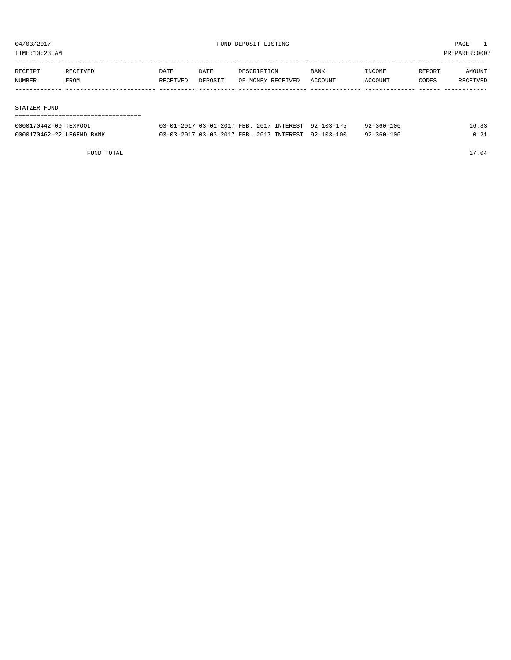TIME:10:23 AM PREPARER:0007

| RECEIPT | RECEIVED | DATE     | <b>DATE</b> | DESCRIPTION       | BANK    | INCOME  | REPORT | AMOUNT   |
|---------|----------|----------|-------------|-------------------|---------|---------|--------|----------|
| NUMBER  | FROM     | RECEIVED | DEPOSIT     | OF MONEY RECEIVED | ACCOUNT | ACCOUNT | CODES  | RECEIVED |
|         |          |          |             |                   |         |         |        |          |
|         |          |          |             |                   |         |         |        |          |

#### STATZER FUND

| -------------------------------------<br>------------------------------------ |                                                     |  |                  |       |
|-------------------------------------------------------------------------------|-----------------------------------------------------|--|------------------|-------|
| 0000170442-09 TEXPOOL                                                         | 03-01-2017 03-01-2017 FEB. 2017 INTEREST 92-103-175 |  | 92-360-100       | 16.83 |
| 0000170462-22 LEGEND BANK                                                     | 03-03-2017 03-03-2017 FEB. 2017 INTEREST 92-103-100 |  | $92 - 360 - 100$ | 0.21  |

FUND TOTAL 17.04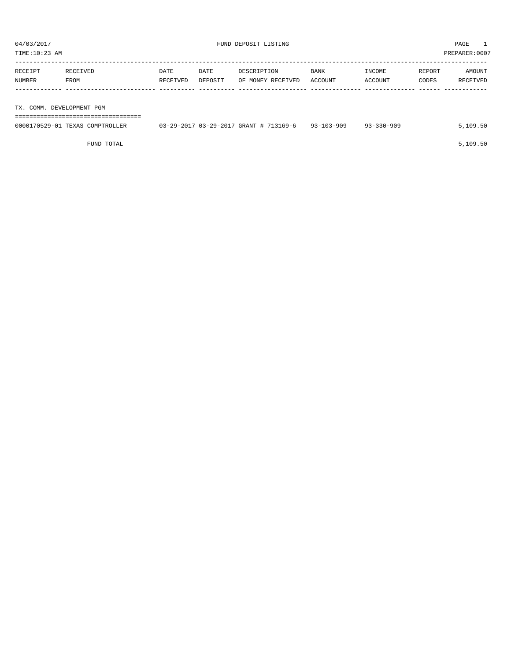TIME:10:23 AM PREPARER:0007

| RECEIPT | RECEIVED                  | <b>DATE</b> | DATE    | DESCRIPTION       | <b>BANK</b> | INCOME  | REPORT | AMOUNT   |
|---------|---------------------------|-------------|---------|-------------------|-------------|---------|--------|----------|
| NUMBER  | FROM                      | RECEIVED    | DEPOSIT | OF MONEY RECEIVED | ACCOUNT     | ACCOUNT | CODES  | RECEIVED |
|         |                           |             |         |                   |             |         |        |          |
|         |                           |             |         |                   |             |         |        |          |
|         | TX. COMM. DEVELOPMENT PGM |             |         |                   |             |         |        |          |

===================================

| 0000170529-01 TEXAS COMPTROLLER | $03-29-2017$ $03-29-2017$ GRANT # 713169-6 93-103-909 | $93 - 330 - 909$ | 5,109.50 |
|---------------------------------|-------------------------------------------------------|------------------|----------|
|                                 |                                                       |                  |          |

FUND TOTAL  $5,109.50$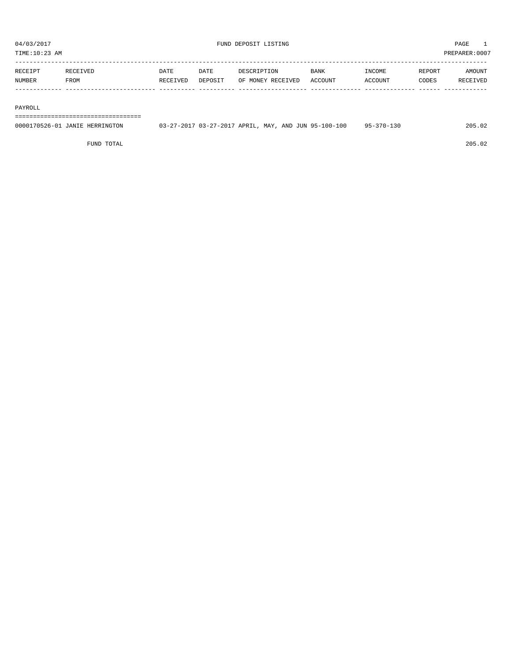| $-$ |      |      |             |      |         |
|-----|------|------|-------------|------|---------|
|     | DATE | DATE | <b>BANK</b> | וואר | . )TIN" |

| RECEIPT | <b>RECEIVED</b> | DATE     | DATE    | DESCRIPTION       | BANK    | INCOME  | <b>REPORT</b> | AMOUNT          |
|---------|-----------------|----------|---------|-------------------|---------|---------|---------------|-----------------|
| NUMBER  | FROM            | RECEIVED | DEPOSIT | OF MONEY RECEIVED | ACCOUNT | ACCOUNT | CODES         | <b>RECEIVED</b> |
|         |                 |          |         |                   |         |         |               |                 |

#### PAYROLL

===================================

| 0000170526-01 JANIE HERRINGTON | 03-27-2017 03-27-2017 APRIL, MAY, AND JUN 95-100-100 | $95 - 370 - 130$ | 205.02 |
|--------------------------------|------------------------------------------------------|------------------|--------|
|                                |                                                      |                  |        |

FUND TOTAL 205.02